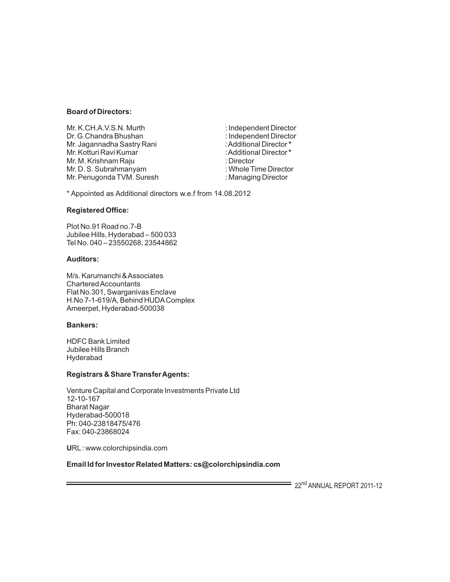#### **Board of Directors:**

Mr. K.CH.A.V.S.N. Murth : independent Director Dr. G.Chandra Bhushan : Independent Director Mr. Jagannadha Sastry Rani : Additional Director **\*** Mr. Kotturi Ravi Kumar : Additional Director **\*** Mr. M. Krishnam Raju : Director Mr. D. S. Subrahmanyam : Whole Time Director<br>Mr. Penugonda TVM. Suresh : Managing Director Mr. Penugonda TVM. Suresh

\* Appointed as Additional directors w.e.f from 14.08.2012

### **Registered Office:**

Plot No.91 Road no.7-B Jubilee Hills, Hyderabad – 500 033 Tel No. 040 – 23550268, 23544862

#### **Auditors:**

M/s. Karumanchi & Associates Chartered Accountants Flat No.301, Swarganivas Enclave H.No 7-1-619/A, Behind HUDAComplex Ameerpet, Hyderabad-500038

#### **Bankers:**

HDFC Bank Limited Jubilee Hills Branch Hyderabad

#### **Registrars & Share Transfer Agents:**

Venture Capital and Corporate Investments Private Ltd 12-10-167 Bharat Nagar Hyderabad-500018 Ph: 040-23818475/476 Fax: 040-23868024

**U**RL: www.colorchipsindia.com

# **Email Id for Investor Related Matters: cs@colorchipsindia.com**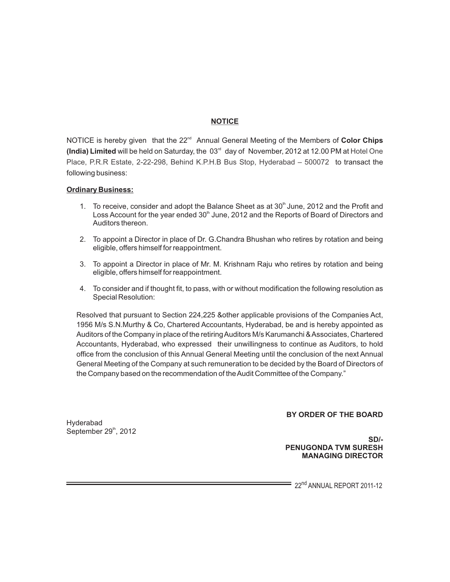# **NOTICE**

NOTICE is hereby given that the 22<sup>nd</sup> Annual General Meeting of the Members of Color Chips (India) Limited will be held on Saturday, the 03<sup>rd</sup> day of November, 2012 at 12.00 PM at Hotel One Place, P.R.R Estate, 2-22-298, Behind K.P.H.B Bus Stop, Hyderabad – 500072 to transact the following business:

#### **Ordinary Business:**

- 1. To receive, consider and adopt the Balance Sheet as at  $30<sup>th</sup>$  June, 2012 and the Profit and Loss Account for the year ended  $30<sup>th</sup>$  June, 2012 and the Reports of Board of Directors and Auditors thereon.
- 2. To appoint a Director in place of Dr. G.Chandra Bhushan who retires by rotation and being eligible, offers himself for reappointment.
- 3. To appoint a Director in place of Mr. M. Krishnam Raju who retires by rotation and being eligible, offers himself for reappointment.
- 4. To consider and if thought fit, to pass, with or without modification the following resolution as Special Resolution:

Resolved that pursuant to Section 224,225 &other applicable provisions of the Companies Act, 1956 M/s S.N.Murthy & Co, Chartered Accountants, Hyderabad, be and is hereby appointed as Auditors of the Company in place of the retiring Auditors M/s Karumanchi & Associates, Chartered Accountants, Hyderabad, who expressed their unwillingness to continue as Auditors, to hold office from the conclusion of this Annual General Meeting until the conclusion of the next Annual General Meeting of the Company at such remuneration to be decided by the Board of Directors of the Company based on the recommendation of the Audit Committee of the Company."

Hyderabad September  $29<sup>th</sup>$ , 2012 **BY ORDER OF THE BOARD**

 **SD/- PENUGONDA TVM SURESH MANAGING DIRECTOR**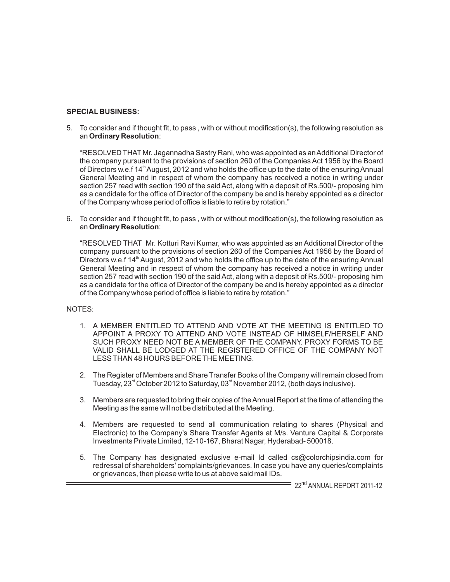# **SPECIAL BUSINESS:**

5. To consider and if thought fit, to pass , with or without modification(s), the following resolution as an **Ordinary Resolution**:

"RESOLVED THAT Mr. Jagannadha Sastry Rani, who was appointed as an Additional Director of the company pursuant to the provisions of section 260 of the Companies Act 1956 by the Board of Directors w.e.f 14<sup>th</sup> August, 2012 and who holds the office up to the date of the ensuring Annual General Meeting and in respect of whom the company has received a notice in writing under section 257 read with section 190 of the said Act, along with a deposit of Rs.500/- proposing him as a candidate for the office of Director of the company be and is hereby appointed as a director of the Company whose period of office is liable to retire by rotation."

6. To consider and if thought fit, to pass , with or without modification(s), the following resolution as an **Ordinary Resolution**:

"RESOLVED THAT Mr. Kotturi Ravi Kumar, who was appointed as an Additional Director of the company pursuant to the provisions of section 260 of the Companies Act 1956 by the Board of Directors w.e.f  $14<sup>th</sup>$  August, 2012 and who holds the office up to the date of the ensuring Annual General Meeting and in respect of whom the company has received a notice in writing under section 257 read with section 190 of the said Act, along with a deposit of Rs.500/- proposing him as a candidate for the office of Director of the company be and is hereby appointed as a director of the Company whose period of office is liable to retire by rotation."

#### NOTES:

- 1. A MEMBER ENTITLED TO ATTEND AND VOTE AT THE MEETING IS ENTITLED TO APPOINT A PROXY TO ATTEND AND VOTE INSTEAD OF HIMSELF/HERSELF AND SUCH PROXY NEED NOT BE A MEMBER OF THE COMPANY. PROXY FORMS TO BE VALID SHALL BE LODGED AT THE REGISTERED OFFICE OF THE COMPANY NOT LESS THAN 48 HOURS BEFORE THE MEETING.
- 2. The Register of Members and Share Transfer Books of the Company will remain closed from Tuesday,  $23<sup>rd</sup>$  October 2012 to Saturday, 03 $<sup>rd</sup>$  November 2012, (both days inclusive).</sup>
- 3. Members are requested to bring their copies of the Annual Report at the time of attending the Meeting as the same will not be distributed at the Meeting.
- 4. Members are requested to send all communication relating to shares (Physical and Electronic) to the Company's Share Transfer Agents at M/s. Venture Capital & Corporate Investments Private Limited, 12-10-167, Bharat Nagar, Hyderabad- 500018.
- 5. The Company has designated exclusive e-mail Id called cs@colorchipsindia.com for redressal of shareholders' complaints/grievances. In case you have any queries/complaints or grievances, then please write to us at above said mail IDs.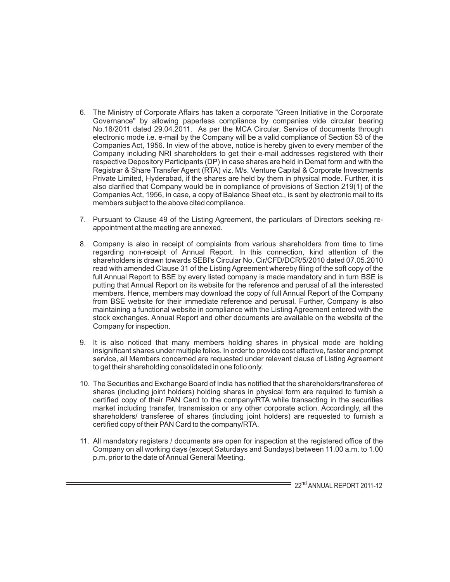- 6. The Ministry of Corporate Affairs has taken a corporate "Green Initiative in the Corporate Governance" by allowing paperless compliance by companies vide circular bearing No.18/2011 dated 29.04.2011. As per the MCA Circular, Service of documents through electronic mode i.e. e-mail by the Company will be a valid compliance of Section 53 of the Companies Act, 1956. In view of the above, notice is hereby given to every member of the Company including NRI shareholders to get their e-mail addresses registered with their respective Depository Participants (DP) in case shares are held in Demat form and with the Registrar & Share Transfer Agent (RTA) viz. M/s. Venture Capital & Corporate Investments Private Limited, Hyderabad, if the shares are held by them in physical mode. Further, it is also clarified that Company would be in compliance of provisions of Section 219(1) of the Companies Act, 1956, in case, a copy of Balance Sheet etc., is sent by electronic mail to its members subject to the above cited compliance.
- 7. Pursuant to Clause 49 of the Listing Agreement, the particulars of Directors seeking reappointment at the meeting are annexed.
- 8. Company is also in receipt of complaints from various shareholders from time to time regarding non-receipt of Annual Report. In this connection, kind attention of the shareholders is drawn towards SEBI's Circular No. Cir/CFD/DCR/5/2010 dated 07.05.2010 read with amended Clause 31 of the Listing Agreement whereby filing of the soft copy of the full Annual Report to BSE by every listed company is made mandatory and in turn BSE is putting that Annual Report on its website for the reference and perusal of all the interested members. Hence, members may download the copy of full Annual Report of the Company from BSE website for their immediate reference and perusal. Further, Company is also maintaining a functional website in compliance with the Listing Agreement entered with the stock exchanges. Annual Report and other documents are available on the website of the Company for inspection.
- 9. It is also noticed that many members holding shares in physical mode are holding insignificant shares under multiple folios. In order to provide cost effective, faster and prompt service, all Members concerned are requested under relevant clause of Listing Agreement to get their shareholding consolidated in one folio only.
- 10. The Securities and Exchange Board of India has notified that the shareholders/transferee of shares (including joint holders) holding shares in physical form are required to furnish a certified copy of their PAN Card to the company/RTA while transacting in the securities market including transfer, transmission or any other corporate action. Accordingly, all the shareholders/ transferee of shares (including joint holders) are requested to furnish a certified copy of their PAN Card to the company/RTA.
- 11. All mandatory registers / documents are open for inspection at the registered office of the Company on all working days (except Saturdays and Sundays) between 11.00 a.m. to 1.00 p.m. prior to the date of Annual General Meeting.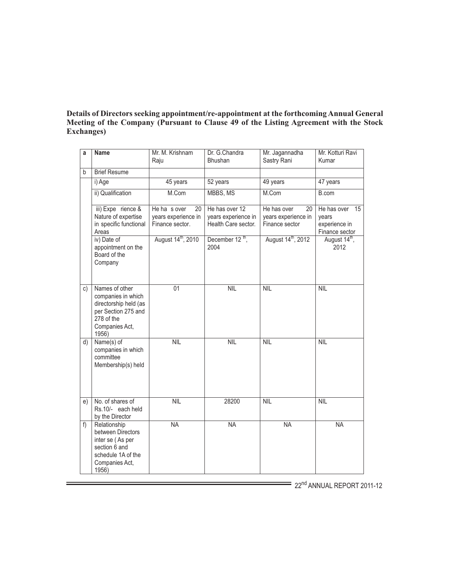# **Details of Directors seeking appointment/re-appointment at the forthcoming Annual General Meeting of the Company (Pursuant to Clause 49 of the Listing Agreement with the Stock Exchanges)**

| a  | <b>Name</b>                                                                                                                   | Mr. M. Krishnam<br>Raju                                     | Dr. G.Chandra<br><b>Bhushan</b>                              | Mr. Jagannadha<br>Sastry Rani                              | Mr. Kotturi Ravi<br>Kumar                                     |
|----|-------------------------------------------------------------------------------------------------------------------------------|-------------------------------------------------------------|--------------------------------------------------------------|------------------------------------------------------------|---------------------------------------------------------------|
| b  | <b>Brief Resume</b>                                                                                                           |                                                             |                                                              |                                                            |                                                               |
|    | i) Age                                                                                                                        | 45 years                                                    | 52 years                                                     | 49 years                                                   | 47 years                                                      |
|    | ii) Qualification                                                                                                             | M.Com                                                       | MBBS, MS                                                     | M.Com                                                      | B.com                                                         |
|    | iii) Expe rience &<br>Nature of expertise<br>in specific functional<br>Areas                                                  | He has over<br>20<br>years experience in<br>Finance sector. | He has over 12<br>years experience in<br>Health Care sector. | He has over<br>20<br>years experience in<br>Finance sector | He has over<br>15<br>years<br>experience in<br>Finance sector |
|    | iv) Date of<br>appointment on the<br>Board of the<br>Company                                                                  | August 14 <sup>th</sup> , 2010                              | December 12 <sup>th</sup> ,<br>2004                          | August 14 <sup>th</sup> , 2012                             | August 14 <sup>th</sup> ,<br>2012                             |
| c) | Names of other<br>companies in which<br>directorship held (as<br>per Section 275 and<br>278 of the<br>Companies Act,<br>1956) | 01                                                          | <b>NIL</b>                                                   | <b>NIL</b>                                                 | <b>NIL</b>                                                    |
| d) | Name(s) of<br>companies in which<br>committee<br>Membership(s) held                                                           | <b>NIL</b>                                                  | <b>NIL</b>                                                   | <b>NIL</b>                                                 | <b>NIL</b>                                                    |
| e) | No. of shares of<br>Rs.10/- each held<br>by the Director                                                                      | <b>NIL</b>                                                  | 28200                                                        | <b>NIL</b>                                                 | <b>NIL</b>                                                    |
| f) | Relationship<br>between Directors<br>inter se (As per<br>section 6 and<br>schedule 1A of the<br>Companies Act,<br>1956)       | $\overline{\mathsf{NA}}$                                    | <b>NA</b>                                                    | <b>NA</b>                                                  | <b>NA</b>                                                     |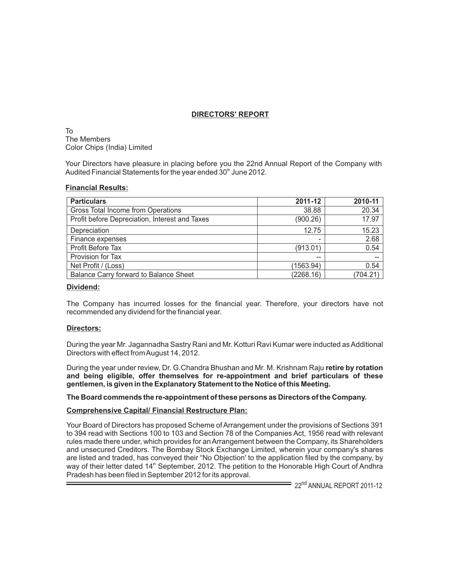# **DIRECTORS' REPORT**

To The Members Color Chips (India) Limited

Your Directors have pleasure in placing before you the 22nd Annual Report of the Company with Audited Financial Statements for the year ended 30<sup>th</sup> June 2012.

#### **Financial Results:**

| <b>Particulars</b>                             | 2011-12   | 2010-11  |
|------------------------------------------------|-----------|----------|
| Gross Total Income from Operations             | 38.88     | 20.34    |
| Profit before Depreciation, Interest and Taxes | (900.26)  | 17.97    |
| Depreciation                                   | 12.75     | 15.23    |
| Finance expenses                               |           | 2.68     |
| Profit Before Tax                              | (913.01)  | 0.54     |
| Provision for Tax                              | --        |          |
| Net Profit / (Loss)                            | (1563.94) | 0.54     |
| Balance Carry forward to Balance Sheet         | (2268.16) | (704.21) |

#### **Dividend:**

The Company has incurred losses for the financial year. Therefore, your directors have not recommended any dividend for the financial year.

#### **Directors:**

During the year Mr. Jagannadha Sastry Rani and Mr. Kotturi Ravi Kumar were inducted as Additional Directors with effect from August 14, 2012.

During the year under review, Dr. G.Chandra Bhushan and Mr. M. Krishnam Raju **retire by rotation and being eligible, offer themselves for re-appointment and brief particulars of these gentlemen, is given in the Explanatory Statement to the Notice of this Meeting.** 

#### **The Board commends the re-appointment of these persons as Directors of the Company.**

# **Comprehensive Capital/ Financial Restructure Plan:**

Your Board of Directors has proposed Scheme of Arrangement under the provisions of Sections 391 to 394 read with Sections 100 to 103 and Section 78 of the Companies Act, 1956 read with relevant rules made there under, which provides for an Arrangement between the Company, its Shareholders and unsecured Creditors. The Bombay Stock Exchange Limited, wherein your company's shares are listed and traded, has conveyed their "No Objection' to the application filed by the company, by way of their letter dated 14<sup>th</sup> September, 2012. The petition to the Honorable High Court of Andhra Pradesh has been filed in September 2012 for its approval.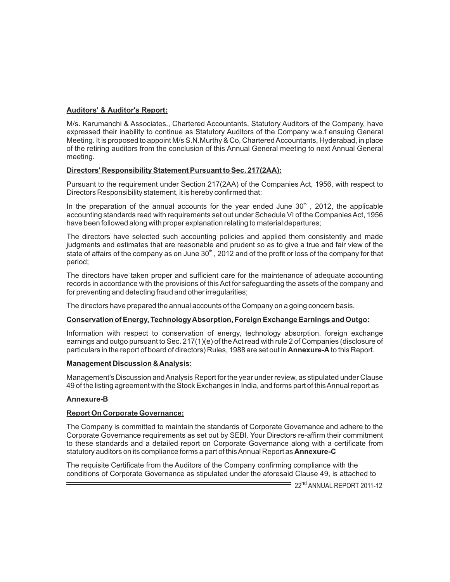# **Auditors' & Auditor's Report:**

M/s. Karumanchi & Associates., Chartered Accountants, Statutory Auditors of the Company, have expressed their inability to continue as Statutory Auditors of the Company w.e.f ensuing General Meeting. It is proposed to appoint M/s S.N.Murthy & Co, Chartered Accountants, Hyderabad, in place of the retiring auditors from the conclusion of this Annual General meeting to next Annual General meeting.

#### **Directors' Responsibility Statement Pursuant to Sec. 217(2AA):**

Pursuant to the requirement under Section 217(2AA) of the Companies Act, 1956, with respect to Directors Responsibility statement, it is hereby confirmed that:

In the preparation of the annual accounts for the year ended June  $30<sup>th</sup>$ , 2012, the applicable accounting standards read with requirements set out under Schedule VI of the Companies Act, 1956 have been followed along with proper explanation relating to material departures;

The directors have selected such accounting policies and applied them consistently and made judgments and estimates that are reasonable and prudent so as to give a true and fair view of the state of affairs of the company as on June  $30<sup>th</sup>$ , 2012 and of the profit or loss of the company for that period;

The directors have taken proper and sufficient care for the maintenance of adequate accounting records in accordance with the provisions of this Act for safeguarding the assets of the company and for preventing and detecting fraud and other irregularities;

The directors have prepared the annual accounts of the Company on a going concern basis.

# **Conservation of Energy, Technology Absorption, Foreign Exchange Earnings and Outgo:**

Information with respect to conservation of energy, technology absorption, foreign exchange earnings and outgo pursuant to Sec. 217(1)(e) of the Act read with rule 2 of Companies (disclosure of particulars in the report of board of directors) Rules, 1988 are set out in **Annexure-A** to this Report.

#### **Management Discussion & Analysis:**

Management's Discussion and Analysis Report for the year under review, as stipulated under Clause 49 of the listing agreement with the Stock Exchanges in India, and forms part of this Annual report as

#### **Annexure-B**

#### **Report On Corporate Governance:**

The Company is committed to maintain the standards of Corporate Governance and adhere to the Corporate Governance requirements as set out by SEBI. Your Directors re-affirm their commitment to these standards and a detailed report on Corporate Governance along with a certificate from statutory auditors on its compliance forms a part of this Annual Report as **Annexure-C**

The requisite Certificate from the Auditors of the Company confirming compliance with the conditions of Corporate Governance as stipulated under the aforesaid Clause 49, is attached to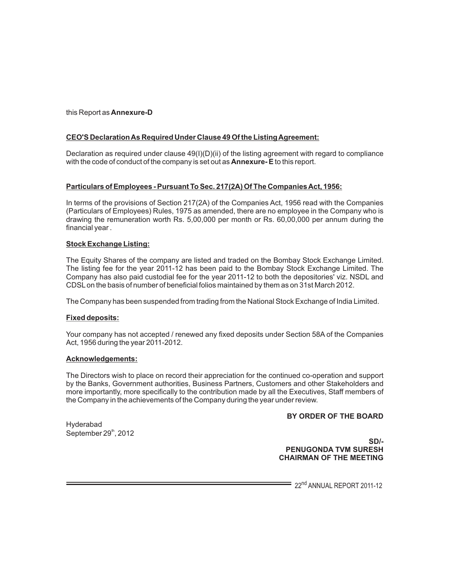this Report as **Annexure-D**

# **CEO'S Declaration As Required Under Clause 49 Of the Listing Agreement:**

Declaration as required under clause  $49(1)(D)(ii)$  of the listing agreement with regard to compliance with the code of conduct of the company is set out as **Annexure- E** to this report.

# **Particulars of Employees - Pursuant To Sec. 217(2A) Of The Companies Act, 1956:**

In terms of the provisions of Section 217(2A) of the Companies Act, 1956 read with the Companies (Particulars of Employees) Rules, 1975 as amended, there are no employee in the Company who is drawing the remuneration worth Rs. 5,00,000 per month or Rs. 60,00,000 per annum during the financial year .

### **Stock Exchange Listing:**

The Equity Shares of the company are listed and traded on the Bombay Stock Exchange Limited. The listing fee for the year 2011-12 has been paid to the Bombay Stock Exchange Limited. The Company has also paid custodial fee for the year 2011-12 to both the depositories' viz. NSDL and CDSLon the basis of number of beneficial folios maintained by them as on 31st March 2012.

The Company has been suspended from trading from the National Stock Exchange of India Limited.

# **Fixed deposits:**

Your company has not accepted / renewed any fixed deposits under Section 58A of the Companies Act, 1956 during the year 2011-2012.

#### **Acknowledgements:**

The Directors wish to place on record their appreciation for the continued co-operation and support by the Banks, Government authorities, Business Partners, Customers and other Stakeholders and more importantly, more specifically to the contribution made by all the Executives, Staff members of the Company in the achievements of the Company during the year under review.

# **BY ORDER OF THE BOARD**

Hyderabad September  $29<sup>th</sup>$ , 2012

 **SD/- PENUGONDA TVM SURESH CHAIRMAN OF THE MEETING**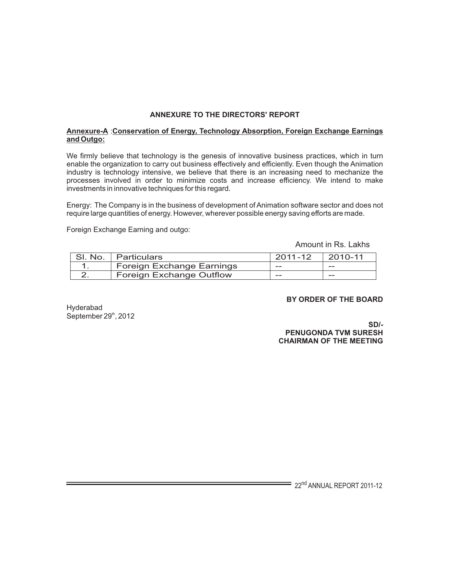# **ANNEXURE TO THE DIRECTORS' REPORT**

#### **Annexure-A** :**Conservation of Energy, Technology Absorption, Foreign Exchange Earnings and Outgo:**

We firmly believe that technology is the genesis of innovative business practices, which in turn enable the organization to carry out business effectively and efficiently. Even though the Animation industry is technology intensive, we believe that there is an increasing need to mechanize the processes involved in order to minimize costs and increase efficiency. We intend to make investments in innovative techniques for this regard.

Energy: The Company is in the business of development of Animation software sector and does not require large quantities of energy. However, wherever possible energy saving efforts are made.

Foreign Exchange Earning and outgo:

Amount in Rs. Lakhs

| SI. No.   Particulars            | 2011-12 | 2010-11 |
|----------------------------------|---------|---------|
| <b>Foreign Exchange Earnings</b> | $-$     | $ -$    |
| <b>Foreign Exchange Outflow</b>  | $-$     | $ -$    |

#### **BY ORDER OF THE BOARD**

Hyderabad September  $29<sup>th</sup>$ , 2012

 **SD/- PENUGONDA TVM SURESH CHAIRMAN OF THE MEETING**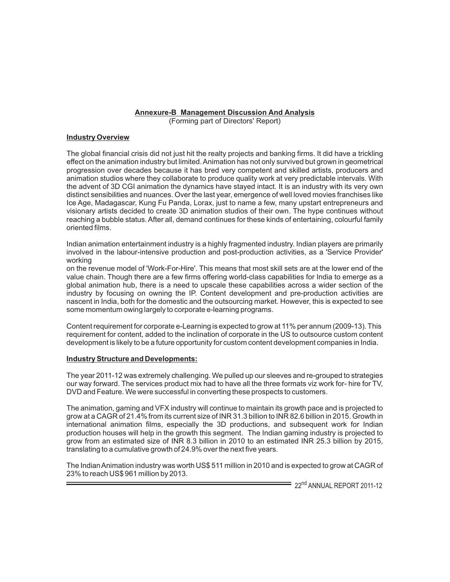#### **Annexure-B Management Discussion And Analysis**

(Forming part of Directors' Report)

#### **Industry Overview**

The global financial crisis did not just hit the realty projects and banking firms. It did have a trickling effect on the animation industry but limited. Animation has not only survived but grown in geometrical progression over decades because it has bred very competent and skilled artists, producers and animation studios where they collaborate to produce quality work at very predictable intervals. With the advent of 3D CGI animation the dynamics have stayed intact. It is an industry with its very own distinct sensibilities and nuances. Over the last year, emergence of well loved movies franchises like Ice Age, Madagascar, Kung Fu Panda, Lorax, just to name a few, many upstart entrepreneurs and visionary artists decided to create 3D animation studios of their own. The hype continues without reaching a bubble status. After all, demand continues for these kinds of entertaining, colourful family oriented films.

Indian animation entertainment industry is a highly fragmented industry. Indian players are primarily involved in the labour-intensive production and post-production activities, as a 'Service Provider' working

on the revenue model of 'Work-For-Hire'. This means that most skill sets are at the lower end of the value chain. Though there are a few firms offering world-class capabilities for India to emerge as a global animation hub, there is a need to upscale these capabilities across a wider section of the industry by focusing on owning the IP. Content development and pre-production activities are nascent in India, both for the domestic and the outsourcing market. However, this is expected to see some momentum owing largely to corporate e-learning programs.

Content requirement for corporate e-Learning is expected to grow at 11% per annum (2009-13). This requirement for content, added to the inclination of corporate in the US to outsource custom content development is likely to be a future opportunity for custom content development companies in India.

#### **Industry Structure and Developments:**

The year 2011-12 was extremely challenging. We pulled up our sleeves and re-grouped to strategies our way forward. The services product mix had to have all the three formats viz work for- hire for TV, DVD and Feature. We were successful in converting these prospects to customers.

The animation, gaming and VFX industry will continue to maintain its growth pace and is projected to grow at a CAGR of 21.4% from its current size of INR 31.3 billion to INR 82.6 billion in 2015. Growth in international animation films, especially the 3D productions, and subsequent work for Indian production houses will help in the growth this segment. The Indian gaming industry is projected to grow from an estimated size of INR 8.3 billion in 2010 to an estimated INR 25.3 billion by 2015, translating to a cumulative growth of 24.9% over the next five years.

The Indian Animation industry was worth US\$ 511 million in 2010 and is expected to grow at CAGR of 23% to reach US\$ 961 million by 2013.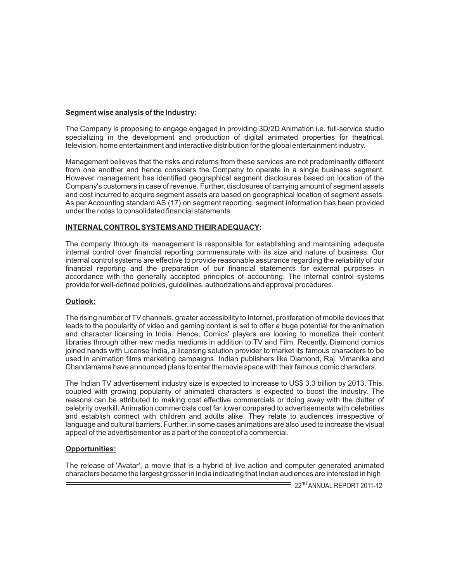#### **Segment wise analysis of the Industry:**

The Company is proposing to engage engaged in providing 3D/2D Animation i.e. full-service studio specializing in the development and production of digital animated properties for theatrical, television, home entertainment and interactive distribution for the global entertainment industry.

Management believes that the risks and returns from these services are not predominantly different from one another and hence considers the Company to operate in a single business segment. However management has identified geographical segment disclosures based on location of the Company's customers in case of revenue. Further, disclosures of carrying amount of segment assets and cost incurred to acquire segment assets are based on geographical location of segment assets. As per Accounting standard AS (17) on segment reporting, segment information has been provided under the notes to consolidated financial statements.

### **INTERNAL CONTROLSYSTEMS AND THEIR ADEQUACY:**

The company through its management is responsible for establishing and maintaining adequate internal control over financial reporting commensurate with its size and nature of business. Our internal control systems are effective to provide reasonable assurance regarding the reliability of our financial reporting and the preparation of our financial statements for external purposes in accordance with the generally accepted principles of accounting. The internal control systems provide for well-defined policies, guidelines, authorizations and approval procedures.

# **Outlook:**

The rising number of TV channels, greater accessibility to Internet, proliferation of mobile devices that leads to the popularity of video and gaming content is set to offer a huge potential for the animation and character licensing in India. Hence, Comics' players are looking to monetize their content libraries through other new media mediums in addition to TV and Film. Recently, Diamond comics joined hands with License India, a licensing solution provider to market its famous characters to be used in animation films marketing campaigns. Indian publishers like Diamond, Raj, Vimanika and Chandamama have announced plans to enter the movie space with their famous comic characters.

The Indian TV advertisement industry size is expected to increase to US\$ 3.3 billion by 2013. This, coupled with growing popularity of animated characters is expected to boost the industry. The reasons can be attributed to making cost effective commercials or doing away with the clutter of celebrity overkill. Animation commercials cost far lower compared to advertisements with celebrities and establish connect with children and adults alike. They relate to audiences irrespective of language and cultural barriers. Further, in some cases animations are also used to increase the visual appeal of the advertisement or as a part of the concept of a commercial.

# **Opportunities:**

The release of 'Avatar', a movie that is a hybrid of live action and computer generated animated characters became the largest grosser in India indicating that Indian audiences are interested in high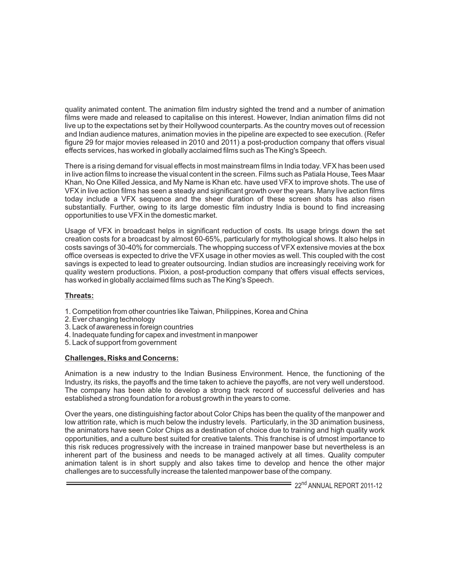quality animated content. The animation film industry sighted the trend and a number of animation films were made and released to capitalise on this interest. However, Indian animation films did not live up to the expectations set by their Hollywood counterparts. As the country moves out of recession and Indian audience matures, animation movies in the pipeline are expected to see execution. (Refer figure 29 for major movies released in 2010 and 2011) a post-production company that offers visual effects services, has worked in globally acclaimed films such as The King's Speech.

There is a rising demand for visual effects in most mainstream films in India today. VFX has been used in live action films to increase the visual content in the screen. Films such as Patiala House, Tees Maar Khan, No One Killed Jessica, and My Name is Khan etc. have used VFX to improve shots. The use of VFX in live action films has seen a steady and significant growth over the years. Many live action films today include a VFX sequence and the sheer duration of these screen shots has also risen substantially. Further, owing to its large domestic film industry India is bound to find increasing opportunities to use VFX in the domestic market.

Usage of VFX in broadcast helps in significant reduction of costs. Its usage brings down the set creation costs for a broadcast by almost 60-65%, particularly for mythological shows. It also helps in costs savings of 30-40% for commercials. The whopping success of VFX extensive movies at the box office overseas is expected to drive the VFX usage in other movies as well. This coupled with the cost savings is expected to lead to greater outsourcing. Indian studios are increasingly receiving work for quality western productions. Pixion, a post-production company that offers visual effects services, has worked in globally acclaimed films such as The King's Speech.

# **Threats:**

- 1. Competition from other countries like Taiwan, Philippines, Korea and China
- 2. Ever changing technology
- 3. Lack of awareness in foreign countries
- 4. Inadequate funding for capex and investment in manpower
- 5. Lack of support from government

#### **Challenges, Risks and Concerns:**

Animation is a new industry to the Indian Business Environment. Hence, the functioning of the Industry, its risks, the payoffs and the time taken to achieve the payoffs, are not very well understood. The company has been able to develop a strong track record of successful deliveries and has established a strong foundation for a robust growth in the years to come.

Over the years, one distinguishing factor about Color Chips has been the quality of the manpower and low attrition rate, which is much below the industry levels. Particularly, in the 3D animation business, the animators have seen Color Chips as a destination of choice due to training and high quality work opportunities, and a culture best suited for creative talents. This franchise is of utmost importance to this risk reduces progressively with the increase in trained manpower base but nevertheless is an inherent part of the business and needs to be managed actively at all times. Quality computer animation talent is in short supply and also takes time to develop and hence the other major challenges are to successfully increase the talented manpower base of the company.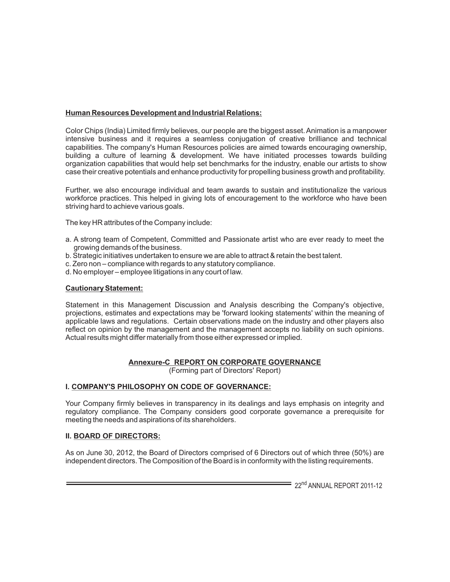# **Human Resources Development and Industrial Relations:**

Color Chips (India) Limited firmly believes, our people are the biggest asset. Animation is a manpower intensive business and it requires a seamless conjugation of creative brilliance and technical capabilities. The company's Human Resources policies are aimed towards encouraging ownership, building a culture of learning & development. We have initiated processes towards building organization capabilities that would help set benchmarks for the industry, enable our artists to show case their creative potentials and enhance productivity for propelling business growth and profitability.

Further, we also encourage individual and team awards to sustain and institutionalize the various workforce practices. This helped in giving lots of encouragement to the workforce who have been striving hard to achieve various goals.

The key HR attributes of the Company include:

- a. A strong team of Competent, Committed and Passionate artist who are ever ready to meet the growing demands of the business.
- b. Strategic initiatives undertaken to ensure we are able to attract & retain the best talent.
- c. Zero non compliance with regards to any statutory compliance.
- d. No employer employee litigations in any court of law.

### **Cautionary Statement:**

Statement in this Management Discussion and Analysis describing the Company's objective, projections, estimates and expectations may be 'forward looking statements' within the meaning of applicable laws and regulations. Certain observations made on the industry and other players also reflect on opinion by the management and the management accepts no liability on such opinions. Actual results might differ materially from those either expressed or implied.

# **Annexure-C REPORT ON CORPORATE GOVERNANCE**

(Forming part of Directors' Report)

# **I. COMPANY'S PHILOSOPHY ON CODE OF GOVERNANCE:**

Your Company firmly believes in transparency in its dealings and lays emphasis on integrity and regulatory compliance. The Company considers good corporate governance a prerequisite for meeting the needs and aspirations of its shareholders.

#### **II. BOARD OF DIRECTORS:**

As on June 30, 2012, the Board of Directors comprised of 6 Directors out of which three (50%) are independent directors. The Composition of the Board is in conformity with the listing requirements.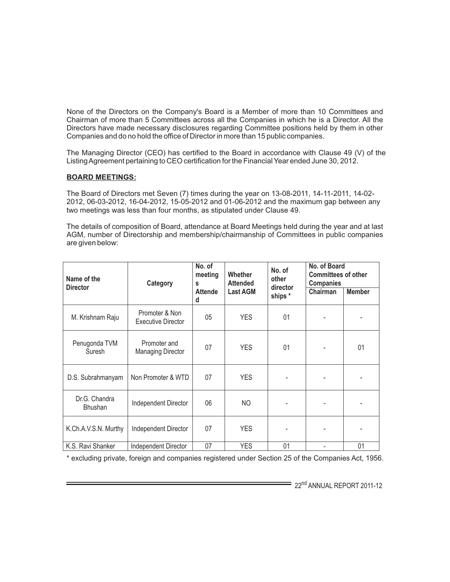None of the Directors on the Company's Board is a Member of more than 10 Committees and Chairman of more than 5 Committees across all the Companies in which he is a Director. All the Directors have made necessary disclosures regarding Committee positions held by them in other Companies and do no hold the office of Director in more than 15 public companies.

The Managing Director (CEO) has certified to the Board in accordance with Clause 49 (V) of the Listing Agreement pertaining to CEO certification for the Financial Year ended June 30, 2012.

#### **BOARD MEETINGS:**

The Board of Directors met Seven (7) times during the year on 13-08-2011, 14-11-2011, 14-02- 2012, 06-03-2012, 16-04-2012, 15-05-2012 and 01-06-2012 and the maximum gap between any two meetings was less than four months, as stipulated under Clause 49.

The details of composition of Board, attendance at Board Meetings held during the year and at last AGM, number of Directorship and membership/chairmanship of Committees in public companies are given below:

| Name of the                     | Category                                    | No. of<br>meeting<br>S | <b>Whether</b><br><b>Attended</b> | No. of<br>other     | No. of Board<br><b>Committees of other</b><br><b>Companies</b> |               |
|---------------------------------|---------------------------------------------|------------------------|-----------------------------------|---------------------|----------------------------------------------------------------|---------------|
| <b>Director</b>                 |                                             | <b>Attende</b><br>d    | <b>Last AGM</b>                   | director<br>ships * | Chairman                                                       | <b>Member</b> |
| M. Krishnam Raju                | Promoter & Non<br><b>Executive Director</b> | 05                     | <b>YES</b>                        | 01                  |                                                                |               |
| Penugonda TVM<br>Suresh         | Promoter and<br><b>Managing Director</b>    | 07                     | <b>YES</b>                        | 01                  |                                                                | 01            |
| D.S. Subrahmanyam               | Non Promoter & WTD                          | 07                     | <b>YES</b>                        |                     |                                                                |               |
| Dr.G. Chandra<br><b>Bhushan</b> | Independent Director                        | 06                     | NO                                |                     |                                                                |               |
| K.Ch.A.V.S.N. Murthy            | Independent Director                        | 07                     | <b>YES</b>                        |                     |                                                                |               |
| K.S. Ravi Shanker               | Independent Director                        | 07                     | <b>YES</b>                        | 01                  |                                                                | 01            |

\* excluding private, foreign and companies registered under Section 25 of the Companies Act, 1956.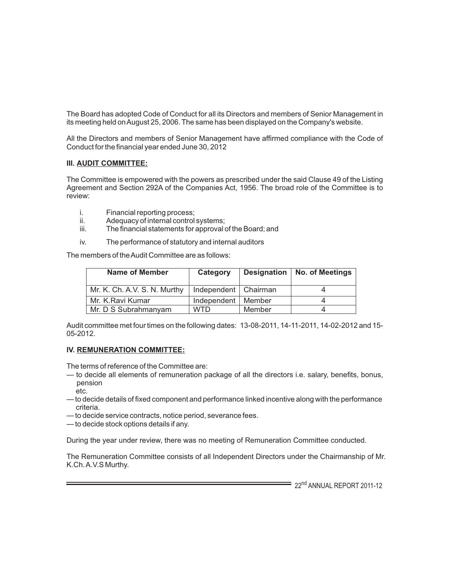The Board has adopted Code of Conduct for all its Directors and members of Senior Management in its meeting held on August 25, 2006. The same has been displayed on the Company's website.

All the Directors and members of Senior Management have affirmed compliance with the Code of Conduct for the financial year ended June 30, 2012

### **III. AUDIT COMMITTEE:**

The Committee is empowered with the powers as prescribed under the said Clause 49 of the Listing Agreement and Section 292A of the Companies Act, 1956. The broad role of the Committee is to review:

- i. Financial reporting process;<br>ii. Adequacy of internal control
- Adequacy of internal control systems;
- iii. The financial statements for approval of the Board; and
- iv. The performance of statutory and internal auditors

The members of the Audit Committee are as follows:

| <b>Name of Member</b>        | Category               |        | Designation   No. of Meetings |
|------------------------------|------------------------|--------|-------------------------------|
| Mr. K. Ch. A.V. S. N. Murthy | Independent   Chairman |        |                               |
| Mr. K.Ravi Kumar             | Independent   Member   |        |                               |
| Mr. D S Subrahmanyam         | <b>WTD</b>             | Member |                               |

Audit committee met four times on the following dates: 13-08-2011, 14-11-2011, 14-02-2012 and 15- 05-2012.

#### **IV. REMUNERATION COMMITTEE:**

The terms of reference of the Committee are:

- to decide all elements of remuneration package of all the directors i.e. salary, benefits, bonus, pension
- etc.
- to decide details of fixed component and performance linked incentive along with the performance criteria.
- to decide service contracts, notice period, severance fees.
- to decide stock options details if any.

During the year under review, there was no meeting of Remuneration Committee conducted.

The Remuneration Committee consists of all Independent Directors under the Chairmanship of Mr. K.Ch. A.V.S Murthy.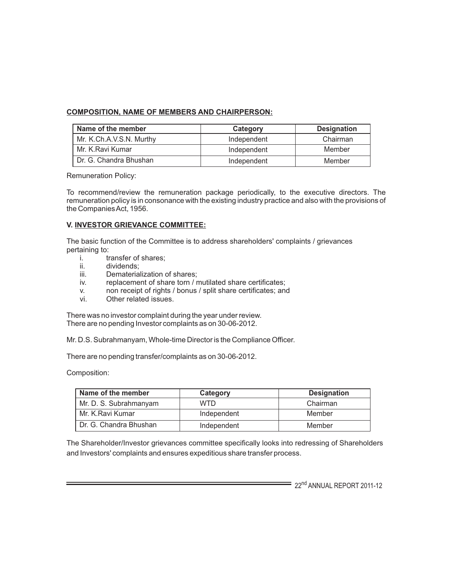# **COMPOSITION, NAME OF MEMBERS AND CHAIRPERSON:**

| Name of the member       | Category    | <b>Designation</b> |
|--------------------------|-------------|--------------------|
| Mr. K.Ch.A.V.S.N. Murthy | Independent | Chairman           |
| I Mr. K.Ravi Kumar       | Independent | Member             |
| LDr. G. Chandra Bhushan  | Independent | Member             |

Remuneration Policy:

To recommend/review the remuneration package periodically, to the executive directors. The remuneration policy is in consonance with the existing industry practice and also with the provisions of the Companies Act, 1956.

### **V. INVESTOR GRIEVANCE COMMITTEE:**

The basic function of the Committee is to address shareholders' complaints / grievances pertaining to:

- i. transfer of shares;<br>ii. dividends:
- ii. dividends;<br>iii. Demateria
- Dematerialization of shares;
- iv. replacement of share torn / mutilated share certificates;
- v. non receipt of rights / bonus / split share certificates; and
- Other related issues.

There was no investor complaint during the year under review. There are no pending Investor complaints as on 30-06-2012.

Mr. D.S. Subrahmanyam, Whole-time Director is the Compliance Officer.

There are no pending transfer/complaints as on 30-06-2012.

Composition:

| Name of the member     | Category    | <b>Designation</b> |
|------------------------|-------------|--------------------|
| Mr. D. S. Subrahmanyam | <b>WTD</b>  | Chairman           |
| Mr. K.Ravi Kumar       | Independent | Member             |
| Dr. G. Chandra Bhushan | Independent | Member             |

The Shareholder/Investor grievances committee specifically looks into redressing of Shareholders and Investors' complaints and ensures expeditious share transfer process.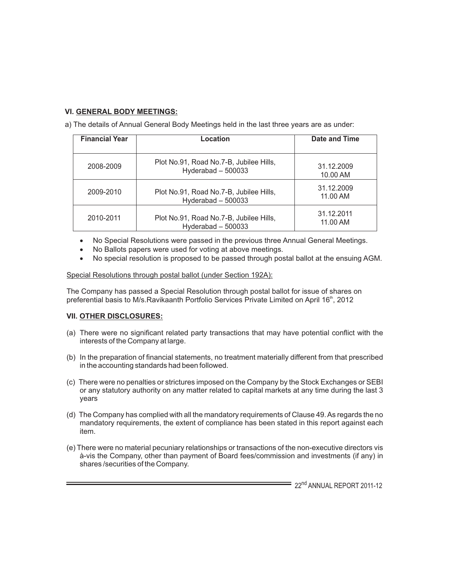# **VI. GENERAL BODY MEETINGS:**

a) The details of Annual General Body Meetings held in the last three years are as under:

| <b>Financial Year</b><br>Location |                                                                | Date and Time          |
|-----------------------------------|----------------------------------------------------------------|------------------------|
| 2008-2009                         | Plot No.91, Road No.7-B, Jubilee Hills,<br>Hyderabad $-500033$ | 31.12.2009<br>10.00 AM |
| 2009-2010                         | Plot No.91, Road No.7-B, Jubilee Hills,<br>Hyderabad - 500033  | 31.12.2009<br>11.00 AM |
| 2010-2011                         | Plot No.91, Road No.7-B, Jubilee Hills,<br>Hyderabad - 500033  | 31.12.2011<br>11.00 AM |

No Special Resolutions were passed in the previous three Annual General Meetings. No Ballots papers were used for voting at above meetings.

No special resolution is proposed to be passed through postal ballot at the ensuing AGM.

### Special Resolutions through postal ballot (under Section 192A):

The Company has passed a Special Resolution through postal ballot for issue of shares on preferential basis to M/s.Ravikaanth Portfolio Services Private Limited on April 16<sup>th</sup>, 2012

# **VII. OTHER DISCLOSURES:**

- (a) There were no significant related party transactions that may have potential conflict with the interests of the Company at large.
- (b) In the preparation of financial statements, no treatment materially different from that prescribed in the accounting standards had been followed.
- (c) There were no penalties or strictures imposed on the Company by the Stock Exchanges or SEBI or any statutory authority on any matter related to capital markets at any time during the last 3 years
- (d) The Company has complied with all the mandatory requirements of Clause 49. As regards the no mandatory requirements, the extent of compliance has been stated in this report against each item.
- (e) There were no material pecuniary relationships or transactions of the non-executive directors vis à-vis the Company, other than payment of Board fees/commission and investments (if any) in shares /securities of the Company.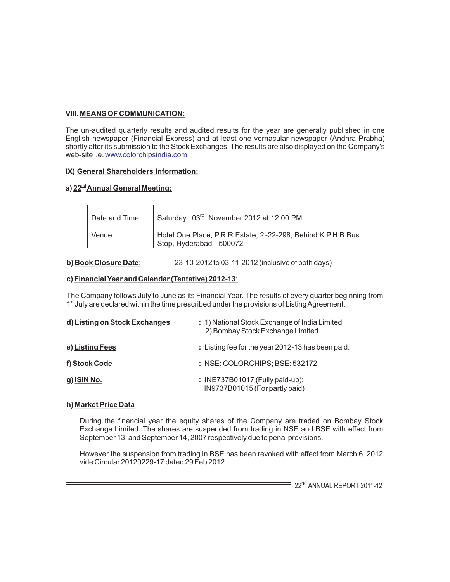# **VIII. MEANS OF COMMUNICATION:**

The un-audited quarterly results and audited results for the year are generally published in one English newspaper (Financial Express) and at least one vernacular newspaper (Andhra Prabha) shortly after its submission to the Stock Exchanges. The results are also displayed on the Company's web-site i.e. <u>[www.colorchipsindia.com](http://www.colorchipsindia.com)</u>

# **IX) General Shareholders Information:**

# **nd a) 22 Annual General Meeting:**

| Date and Time | Saturday, 03 <sup>rd</sup> November 2012 at 12.00 PM                                    |
|---------------|-----------------------------------------------------------------------------------------|
| Venue         | Hotel One Place, P.R.R Estate, 2-22-298, Behind K.P.H.B Bus<br>Stop, Hyderabad - 500072 |

### **b) Book Closure Date**: 23-10-2012 to 03-11-2012 (inclusive of both days)

### **c) Financial Year and Calendar (Tentative) 2012-13**:

The Company follows July to June as its Financial Year. The results of every quarter beginning from 1<sup>st</sup> July are declared within the time prescribed under the provisions of Listing Agreement.

| d) Listing on Stock Exchanges | : 1) National Stock Exchange of India Limited<br>2) Bombay Stock Exchange Limited |
|-------------------------------|-----------------------------------------------------------------------------------|
| e) Listing Fees               | : Listing fee for the year 2012-13 has been paid.                                 |
| f) Stock Code                 | : NSE: COLORCHIPS; BSE: 532172                                                    |
| $g)$ ISIN No.                 | : INE737B01017 (Fully paid-up);<br>IN9737B01015 (For partly paid)                 |

#### **h) Market Price Data**

During the financial year the equity shares of the Company are traded on Bombay Stock Exchange Limited. The shares are suspended from trading in NSE and BSE with effect from September 13, and September 14, 2007 respectively due to penal provisions.

However the suspension from trading in BSE has been revoked with effect from March 6, 2012 vide Circular 20120229-17 dated 29 Feb 2012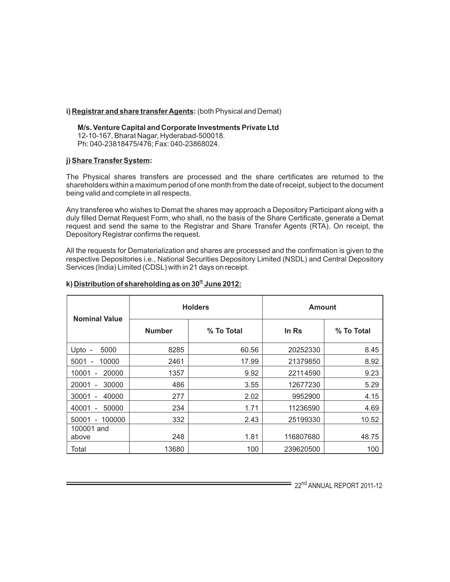#### **i) Registrar and share transfer Agents:** (both Physical and Demat)

#### **M/s. Venture Capital and Corporate Investments Private Ltd** 12-10-167, Bharat Nagar, Hyderabad-500018. Ph: 040-23818475/476; Fax: 040-23868024.

#### **j) Share Transfer System:**

The Physical shares transfers are processed and the share certificates are returned to the shareholders within a maximum period of one month from the date of receipt, subject to the document being valid and complete in all respects.

Any transferee who wishes to Demat the shares may approach a Depository Participant along with a duly filled Demat Request Form, who shall, no the basis of the Share Certificate, generate a Demat request and send the same to the Registrar and Share Transfer Agents (RTA). On receipt, the Depository Registrar confirms the request.

All the requests for Dematerialization and shares are processed and the confirmation is given to the respective Depositories i.e., National Securities Depository Limited (NSDL) and Central Depository Services (India) Limited (CDSL) with in 21 days on receipt.

| <b>Nominal Value</b>                            |               | <b>Holders</b> | Amount    |            |
|-------------------------------------------------|---------------|----------------|-----------|------------|
|                                                 | <b>Number</b> | % To Total     | In Rs     | % To Total |
| 5000<br>Upto -                                  | 8285          | 60.56          | 20252330  | 8.45       |
| 5001<br>10000                                   | 2461          | 17.99          | 21379850  | 8.92       |
| 20000<br>10001                                  | 1357          | 9.92           | 22114590  | 9.23       |
| 20001<br>30000<br>$\overline{\phantom{a}}$      | 486           | 3.55           | 12677230  | 5.29       |
| 30001<br>40000                                  | 277           | 2.02           | 9952900   | 4.15       |
| 50000<br>40001                                  | 234           | 1.71           | 11236590  | 4.69       |
| 100000<br>50001<br>$\qquad \qquad \blacksquare$ | 332           | 2.43           | 25199330  | 10.52      |
| 100001 and<br>above                             | 248           | 1.81           | 116807680 | 48.75      |
| Total                                           | 13680         | 100            | 239620500 | 100        |

# **th k) Distribution of shareholding as on 30 June 2012:**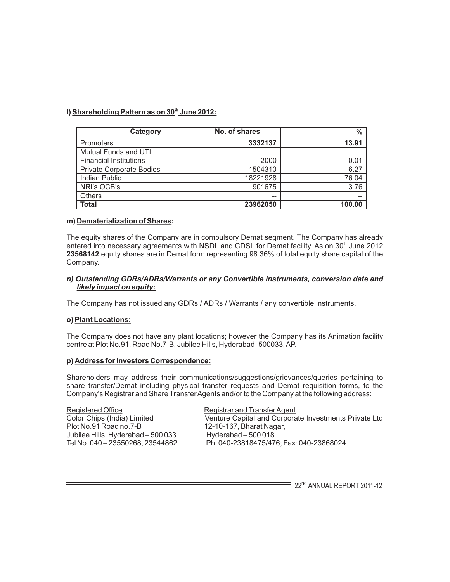# **th l) Shareholding Pattern as on 30 June 2012:**

| Category                      | No. of shares | $\frac{0}{0}$ |
|-------------------------------|---------------|---------------|
| <b>Promoters</b>              | 3332137       | 13.91         |
| <b>Mutual Funds and UTI</b>   |               |               |
| <b>Financial Institutions</b> | 2000          | 0.01          |
| Private Corporate Bodies      | 1504310       | 6.27          |
| <b>Indian Public</b>          | 18221928      | 76.04         |
| NRI's OCB's                   | 901675        | 3.76          |
| <b>Others</b>                 | --            |               |
| Total                         | 23962050      | 100.00        |

#### **m) Dematerialization of Shares:**

The equity shares of the Company are in compulsory Demat segment. The Company has already entered into necessary agreements with NSDL and CDSL for Demat facility. As on  $30<sup>th</sup>$  June 2012 **23568142** equity shares are in Demat form representing 98.36% of total equity share capital of the Company.

#### *n) Outstanding GDRs/ADRs/Warrants or any Convertible instruments, conversion date and likely impact on equity:*

The Company has not issued any GDRs / ADRs / Warrants / any convertible instruments.

#### **o) Plant Locations:**

The Company does not have any plant locations; however the Company has its Animation facility centre at Plot No.91, Road No.7-B, Jubilee Hills, Hyderabad- 500033, AP.

#### **p) Address for Investors Correspondence:**

Shareholders may address their communications/suggestions/grievances/queries pertaining to share transfer/Demat including physical transfer requests and Demat requisition forms, to the Company's Registrar and Share Transfer Agents and/or to the Company at the following address:

Registered Office Registrar and Transfer Agent Plot No.91 Road no.7-B 12-10-167, Bharat Nagar,<br>
Jubilee Hills, Hyderabad – 500 033 Hyderabad – 500 018 Jubilee Hills, Hyderabad – 500 033<br>Tel No. 040 – 23550268, 23544862

Color Chips (India) Limited Venture Capital and Corporate Investments Private Ltd Ph: 040-23818475/476; Fax: 040-23868024.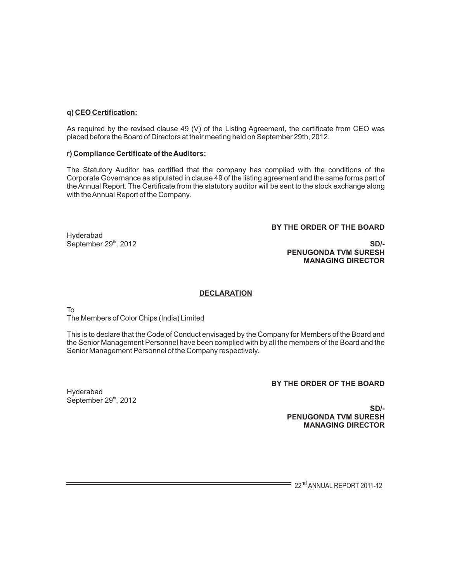#### **q) CEO Certification:**

As required by the revised clause 49 (V) of the Listing Agreement, the certificate from CEO was placed before the Board of Directors at their meeting held on September 29th, 2012.

#### **r) Compliance Certificate of the Auditors:**

The Statutory Auditor has certified that the company has complied with the conditions of the Corporate Governance as stipulated in clause 49 of the listing agreement and the same forms part of the Annual Report. The Certificate from the statutory auditor will be sent to the stock exchange along with the Annual Report of the Company.

#### **BY THE ORDER OF THE BOARD**

Hyderabad

September 29<sup>th</sup>, 2012 **SD/-PENUGONDA TVM SURESH MANAGING DIRECTOR**

# **DECLARATION**

To

The Members of Color Chips (India) Limited

This is to declare that the Code of Conduct envisaged by the Company for Members of the Board and the Senior Management Personnel have been complied with by all the members of the Board and the Senior Management Personnel of the Company respectively.

**BY THE ORDER OF THE BOARD**

Hyderabad September 29<sup>th</sup>, 2012

**SD/- PENUGONDA TVM SURESH MANAGING DIRECTOR**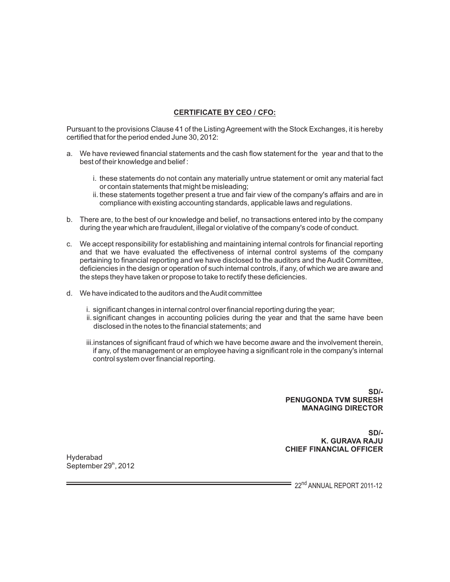# **CERTIFICATE BY CEO / CFO:**

Pursuant to the provisions Clause 41 of the Listing Agreement with the Stock Exchanges, it is hereby certified that for the period ended June 30, 2012:

- a. We have reviewed financial statements and the cash flow statement for the year and that to the best of their knowledge and belief :
	- i. these statements do not contain any materially untrue statement or omit any material fact or contain statements that might be misleading;
	- ii. these statements together present a true and fair view of the company's affairs and are in compliance with existing accounting standards, applicable laws and regulations.
- b. There are, to the best of our knowledge and belief, no transactions entered into by the company during the year which are fraudulent, illegal or violative of the company's code of conduct.
- c. We accept responsibility for establishing and maintaining internal controls for financial reporting and that we have evaluated the effectiveness of internal control systems of the company pertaining to financial reporting and we have disclosed to the auditors and the Audit Committee, deficiencies in the design or operation of such internal controls, if any, of which we are aware and the steps they have taken or propose to take to rectify these deficiencies.
- d. We have indicated to the auditors and the Audit committee
	- i. significant changes in internal control over financial reporting during the year;
	- ii. significant changes in accounting policies during the year and that the same have been disclosed in the notes to the financial statements; and
	- iii.instances of significant fraud of which we have become aware and the involvement therein, if any, of the management or an employee having a significant role in the company's internal control system over financial reporting.

**SD/- PENUGONDA TVM SURESH MANAGING DIRECTOR**

**SD/- K. GURAVA RAJU CHIEF FINANCIAL OFFICER**

Hyderabad September  $29<sup>th</sup>$ , 2012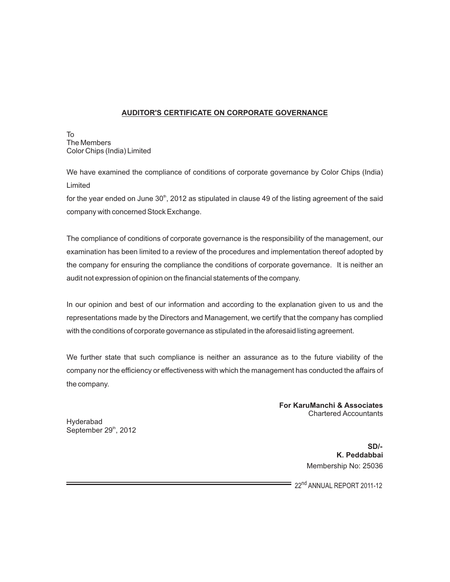# **AUDITOR'S CERTIFICATE ON CORPORATE GOVERNANCE**

To The Members Color Chips (India) Limited

We have examined the compliance of conditions of corporate governance by Color Chips (India) Limited

for the year ended on June  $30<sup>th</sup>$ , 2012 as stipulated in clause 49 of the listing agreement of the said company with concerned Stock Exchange.

The compliance of conditions of corporate governance is the responsibility of the management, our examination has been limited to a review of the procedures and implementation thereof adopted by the company for ensuring the compliance the conditions of corporate governance. It is neither an audit not expression of opinion on the financial statements of the company.

In our opinion and best of our information and according to the explanation given to us and the representations made by the Directors and Management, we certify that the company has complied with the conditions of corporate governance as stipulated in the aforesaid listing agreement.

We further state that such compliance is neither an assurance as to the future viability of the company nor the efficiency or effectiveness with which the management has conducted the affairs of the company.

> **For KaruManchi & Associates** Chartered Accountants

Hyderabad September 29<sup>th</sup>, 2012

> **SD/- K. Peddabbai**  Membership No: 25036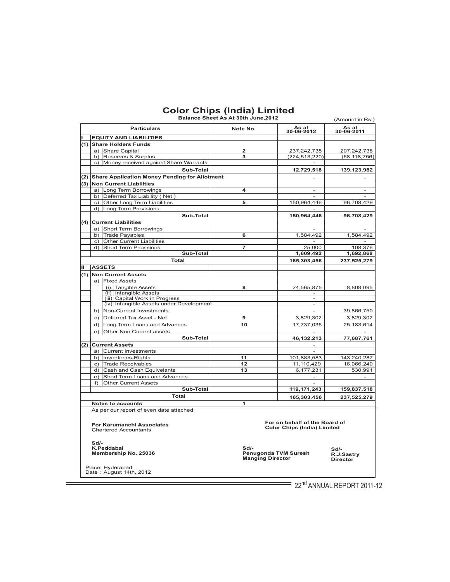| Balance Sheet As At 30th June, 2012<br>(Amount in Rs.) |                                                                                                                                                                                    |                                                   |                     |                     |                          |  |
|--------------------------------------------------------|------------------------------------------------------------------------------------------------------------------------------------------------------------------------------------|---------------------------------------------------|---------------------|---------------------|--------------------------|--|
|                                                        |                                                                                                                                                                                    | <b>Particulars</b>                                | As at<br>30-06-2012 | As at<br>30-06-2011 |                          |  |
|                                                        |                                                                                                                                                                                    | <b>EQUITY AND LIABILITIES</b>                     |                     |                     |                          |  |
|                                                        |                                                                                                                                                                                    | (1) Share Holders Funds                           |                     |                     |                          |  |
|                                                        |                                                                                                                                                                                    | a) Share Capital                                  | 2                   | 237,242,738         | 207,242,738              |  |
|                                                        |                                                                                                                                                                                    | b) Reserves & Surplus                             | 3                   | (224, 513, 220)     | (68, 118, 756)           |  |
|                                                        |                                                                                                                                                                                    | c) Money received against Share Warrants          |                     |                     |                          |  |
|                                                        |                                                                                                                                                                                    | Sub-Total                                         |                     | 12,729,518          | 139,123,982              |  |
|                                                        |                                                                                                                                                                                    | (2) Share Application Money Pending for Allotment |                     |                     |                          |  |
|                                                        |                                                                                                                                                                                    | (3) Non Current Liabilities                       |                     |                     |                          |  |
|                                                        |                                                                                                                                                                                    | a) Long Term Borrowings                           | 4                   |                     |                          |  |
|                                                        |                                                                                                                                                                                    | b) Deferred Tax Liability (Net)                   |                     |                     |                          |  |
|                                                        |                                                                                                                                                                                    | c) Other Long Term Liabilities                    | 5                   | 150.964.446         | 96,708,429               |  |
|                                                        |                                                                                                                                                                                    | d) Long Term Provisions                           |                     |                     |                          |  |
|                                                        |                                                                                                                                                                                    | Sub-Total                                         |                     | 150,964,446         | 96,708,429               |  |
|                                                        |                                                                                                                                                                                    | (4) Current Liabilities                           |                     |                     |                          |  |
|                                                        |                                                                                                                                                                                    | a) Short Term Borrowings                          |                     |                     |                          |  |
|                                                        |                                                                                                                                                                                    | b) Trade Payables                                 | 6                   | 1,584,492           | 1,584,492                |  |
|                                                        | c)                                                                                                                                                                                 | <b>Other Current Liabilities</b>                  |                     |                     |                          |  |
|                                                        | d)                                                                                                                                                                                 | Short Term Provisions                             | $\overline{7}$      | 25,000              | 108,376                  |  |
|                                                        |                                                                                                                                                                                    | Sub-Total                                         |                     | 1,609,492           | 1,692,868                |  |
|                                                        |                                                                                                                                                                                    | <b>Total</b>                                      |                     | 165,303,456         | 237,525,279              |  |
| ш                                                      |                                                                                                                                                                                    | <b>ASSETS</b>                                     |                     |                     |                          |  |
|                                                        |                                                                                                                                                                                    | (1) Non Current Assets                            |                     |                     |                          |  |
|                                                        |                                                                                                                                                                                    | a) Fixed Assets                                   |                     |                     |                          |  |
|                                                        |                                                                                                                                                                                    | (i) Tangible Assets                               | 8                   | 24,565,875          | 8,808,095                |  |
|                                                        |                                                                                                                                                                                    | (ii) Intangible Assets                            |                     |                     |                          |  |
|                                                        |                                                                                                                                                                                    | (iii) Capital Work in Progress                    |                     | $\sim$              |                          |  |
|                                                        |                                                                                                                                                                                    | (iv) Intangible Assets under Development          |                     |                     |                          |  |
|                                                        | b)                                                                                                                                                                                 | Non-Current Investments                           |                     |                     | 39,866,750               |  |
|                                                        | C)                                                                                                                                                                                 | Deferred Tax Asset - Net                          | 9                   | 3,829,302           | 3,829,302                |  |
|                                                        | d)                                                                                                                                                                                 | Long Term Loans and Advances                      | 10                  | 17,737,036          | 25, 183, 614             |  |
|                                                        | e)                                                                                                                                                                                 | Other Non Current assets                          |                     | $\sim$              |                          |  |
|                                                        |                                                                                                                                                                                    | Sub-Total                                         |                     | 46,132,213          | 77,687,761               |  |
| (2)                                                    |                                                                                                                                                                                    | <b>Current Assets</b>                             |                     |                     |                          |  |
|                                                        |                                                                                                                                                                                    | a) Current Investments                            |                     |                     |                          |  |
|                                                        |                                                                                                                                                                                    | b) Inventories-Rights                             | 11                  | 101,883,583         | 143,240,287              |  |
|                                                        |                                                                                                                                                                                    | c) Trade Receivables                              | 12                  | 11,110,429          | 16,066,240               |  |
|                                                        |                                                                                                                                                                                    | d) Cash and Cash Equivelants                      | 13                  | 6,177,231           | 530,991                  |  |
|                                                        |                                                                                                                                                                                    | e) Short Term Loans and Advances                  |                     | $\sim$              | $\overline{\phantom{a}}$ |  |
|                                                        | f)                                                                                                                                                                                 | <b>Other Current Assets</b>                       |                     |                     |                          |  |
|                                                        |                                                                                                                                                                                    | Sub-Total                                         |                     | 119,171,243         | 159,837,518              |  |
|                                                        |                                                                                                                                                                                    | <b>Total</b>                                      |                     | 165,303,456         | 237,525,279              |  |
|                                                        |                                                                                                                                                                                    | <b>Notes to accounts</b>                          | 1                   |                     |                          |  |
|                                                        | As per our report of even date attached<br>For on behalf of the Board of<br><b>For Karumanchi Associates</b><br><b>Color Chips (India) Limited</b><br><b>Chartered Accountants</b> |                                                   |                     |                     |                          |  |

**Sd/- .Peddabai**

**K Sd/- Sd/- Membership No. 25036 Penugonda TVM Suresh R.J.Sastry Manging Director Director**

Place: Hyderabad<br>Date : August 14th, 2012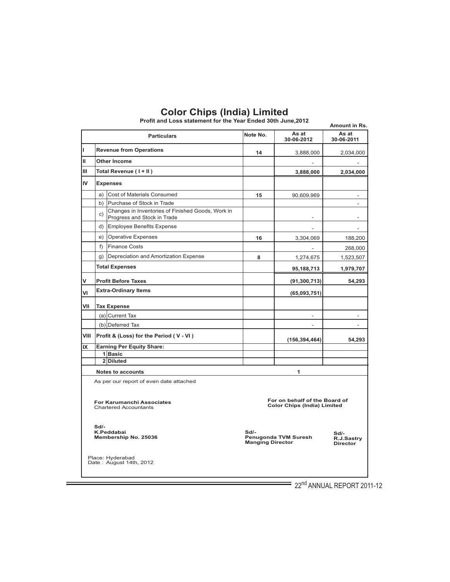|                                                                  |                                         | Profit and Loss statement for the Year Ended 30th June,2012                      |                                   |                                                                     | Amount in Rs.                           |
|------------------------------------------------------------------|-----------------------------------------|----------------------------------------------------------------------------------|-----------------------------------|---------------------------------------------------------------------|-----------------------------------------|
|                                                                  |                                         | <b>Particulars</b>                                                               | Note No.                          | As at<br>30-06-2012                                                 | As at<br>30-06-2011                     |
| П                                                                |                                         | <b>Revenue from Operations</b>                                                   | 14                                | 3,888,000                                                           | 2,034,000                               |
| Ш                                                                |                                         | Other Income                                                                     |                                   |                                                                     |                                         |
| Ш                                                                |                                         | Total Revenue (I+II)                                                             |                                   | 3,888,000                                                           | 2,034,000                               |
| IV                                                               |                                         | <b>Expenses</b>                                                                  |                                   |                                                                     |                                         |
|                                                                  | a)                                      | Cost of Materials Consumed                                                       | 15                                | 90,609,969                                                          |                                         |
|                                                                  | b)                                      | Purchase of Stock in Trade                                                       |                                   |                                                                     | ÷,                                      |
|                                                                  | c)                                      | Changes in Inventories of Finished Goods, Work in<br>Progress and Stock in Trade |                                   |                                                                     | $\overline{a}$                          |
|                                                                  | d)                                      | Employee Benefits Expense                                                        |                                   | $\overline{\phantom{a}}$                                            | $\overline{\phantom{a}}$                |
|                                                                  | e)                                      | <b>Operative Expenses</b>                                                        | 16                                | 3,304,069                                                           | 188,200                                 |
|                                                                  | f)                                      | <b>Finance Costs</b>                                                             |                                   |                                                                     | 268,000                                 |
|                                                                  | g)                                      | Depreciation and Amortization Expense                                            | 8                                 | 1,274,675                                                           | 1,523,507                               |
|                                                                  | <b>Total Expenses</b>                   |                                                                                  |                                   | 95,188,713                                                          | 1,979,707                               |
| v                                                                |                                         | <b>Profit Before Taxes</b>                                                       |                                   | (91, 300, 713)                                                      | 54,293                                  |
| VI                                                               |                                         | <b>Extra-Ordinary Items</b>                                                      |                                   | (65,093,751)                                                        |                                         |
| VII                                                              |                                         | <b>Tax Expense</b>                                                               |                                   |                                                                     |                                         |
|                                                                  |                                         | $(a)$ Current Tax                                                                |                                   |                                                                     |                                         |
|                                                                  |                                         | (b) Deferred Tax                                                                 |                                   | ä,                                                                  | ÷                                       |
| VIII                                                             | Profit & (Loss) for the Period (V - VI) |                                                                                  |                                   | (156, 394, 464)                                                     | 54,293                                  |
| IX                                                               |                                         | <b>Earning Per Equity Share:</b>                                                 |                                   |                                                                     |                                         |
|                                                                  |                                         | 1Basic                                                                           |                                   |                                                                     |                                         |
|                                                                  |                                         | 2Diluted                                                                         |                                   |                                                                     |                                         |
|                                                                  |                                         | <b>Notes to accounts</b>                                                         |                                   | $\mathbf{1}$                                                        |                                         |
|                                                                  |                                         | As per our report of even date attached                                          |                                   |                                                                     |                                         |
| <b>For Karumanchi Associates</b><br><b>Chartered Accountants</b> |                                         |                                                                                  |                                   | For on behalf of the Board of<br><b>Color Chips (India) Limited</b> |                                         |
|                                                                  | $Sd$ -                                  | K.Peddabai<br>Membership No. 25036                                               | $Sd$ -<br><b>Manging Director</b> | Penugonda TVM Suresh                                                | $Sd$ -<br>R.J.Sastry<br><b>Director</b> |
|                                                                  |                                         | Place: Hyderabad<br>Date: August 14th, 2012                                      |                                   |                                                                     |                                         |

**Profit and Loss statement for the Year Ended 30th June,2012**

 $\frac{1}{22^{nd}}$  ANNUAL REPORT 2011-12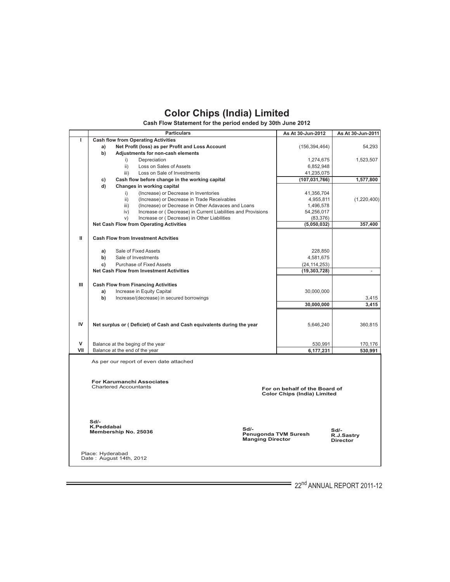**Cash Flow Statement for the period ended by 30th June 2012**

|                                                                                                     |                                         | <b>Particulars</b>                                                                | As At 30-Jun-2012 | As At 30-Jun-2011                       |  |  |  |
|-----------------------------------------------------------------------------------------------------|-----------------------------------------|-----------------------------------------------------------------------------------|-------------------|-----------------------------------------|--|--|--|
| T                                                                                                   |                                         | <b>Cash flow from Operating Activities</b>                                        |                   |                                         |  |  |  |
|                                                                                                     | a)                                      | Net Profit (loss) as per Profit and Loss Account                                  | (156, 394, 464)   | 54,293                                  |  |  |  |
|                                                                                                     | b)                                      | Adjustments for non-cash elements                                                 |                   |                                         |  |  |  |
|                                                                                                     |                                         | i)<br>Depreciation                                                                | 1,274,675         | 1,523,507                               |  |  |  |
|                                                                                                     |                                         | $\mathsf{ii}$<br>Loss on Sales of Assets                                          | 6,852,948         |                                         |  |  |  |
|                                                                                                     |                                         | Loss on Sale of Investments<br>iii)                                               | 41,235,075        |                                         |  |  |  |
|                                                                                                     | c)                                      | Cash flow before change in the working capital                                    | (107, 031, 766)   | 1,577,800                               |  |  |  |
|                                                                                                     | d)                                      | Changes in working capital                                                        |                   |                                         |  |  |  |
|                                                                                                     |                                         | (Increase) or Decrease in Inventories<br>i)                                       | 41,356,704        |                                         |  |  |  |
|                                                                                                     |                                         | $\mathsf{ii}$<br>(Increase) or Decrease in Trade Receivables                      | 4,955,811         | (1,220,400)                             |  |  |  |
|                                                                                                     |                                         | (Increase) or Decrease in Other Adavaces and Loans<br>iii)                        | 1,496,578         |                                         |  |  |  |
|                                                                                                     |                                         | iv)<br>Increase or (Decrease) in Current Liabilities and Provisions               | 54,256,017        |                                         |  |  |  |
|                                                                                                     |                                         | Increase or (Decrease) in Other Liabilities<br>V)                                 | (83, 376)         |                                         |  |  |  |
|                                                                                                     |                                         | <b>Net Cash Flow from Operating Activities</b>                                    | (5,050,032)       | 357,400                                 |  |  |  |
| Ш                                                                                                   |                                         | <b>Cash Flow from Investment Actvities</b>                                        |                   |                                         |  |  |  |
|                                                                                                     |                                         |                                                                                   |                   |                                         |  |  |  |
|                                                                                                     | a)                                      | Sale of Fixed Assets                                                              | 228,850           |                                         |  |  |  |
|                                                                                                     | b)                                      | Sale of Investments                                                               | 4,581,675         |                                         |  |  |  |
|                                                                                                     | c)                                      | <b>Purchase of Fixed Assets</b>                                                   | (24, 114, 253)    |                                         |  |  |  |
|                                                                                                     |                                         | <b>Net Cash Flow from Investment Activities</b>                                   | (19, 303, 728)    | $\overline{\phantom{a}}$                |  |  |  |
|                                                                                                     |                                         |                                                                                   |                   |                                         |  |  |  |
| Ш                                                                                                   |                                         | <b>Cash Flow from Financing Activities</b>                                        |                   |                                         |  |  |  |
|                                                                                                     | a)                                      | Increase in Equity Capital                                                        | 30,000,000        |                                         |  |  |  |
|                                                                                                     | b)                                      | Increase/(decrease) in secured borrowings                                         |                   | 3,415                                   |  |  |  |
|                                                                                                     |                                         |                                                                                   | 30,000,000        | 3.415                                   |  |  |  |
|                                                                                                     |                                         |                                                                                   |                   |                                         |  |  |  |
|                                                                                                     |                                         |                                                                                   |                   |                                         |  |  |  |
| IV                                                                                                  |                                         | Net surplus or (Deficiet) of Cash and Cash equivalents during the year            | 5,646,240         | 360,815                                 |  |  |  |
|                                                                                                     |                                         |                                                                                   |                   |                                         |  |  |  |
|                                                                                                     |                                         |                                                                                   |                   |                                         |  |  |  |
| v                                                                                                   |                                         | Balance at the beging of the year                                                 | 530,991           | 170,176                                 |  |  |  |
| VII                                                                                                 |                                         | Balance at the end of the year                                                    | 6,177,231         | 530,991                                 |  |  |  |
|                                                                                                     | As per our report of even date attached |                                                                                   |                   |                                         |  |  |  |
|                                                                                                     |                                         | <b>For Karumanchi Associates</b>                                                  |                   |                                         |  |  |  |
| <b>Chartered Accountants</b><br>For on behalf of the Board of<br><b>Color Chips (India) Limited</b> |                                         |                                                                                   |                   |                                         |  |  |  |
|                                                                                                     |                                         |                                                                                   |                   |                                         |  |  |  |
|                                                                                                     |                                         |                                                                                   |                   |                                         |  |  |  |
|                                                                                                     | $Sd$ -                                  |                                                                                   |                   |                                         |  |  |  |
|                                                                                                     | K.Peddabai                              | $Sd$ -<br>Membership No. 25036<br>Penugonda TVM Suresh<br><b>Manging Director</b> |                   | $Sd$ -<br>R.J.Sastry<br><b>Director</b> |  |  |  |
|                                                                                                     | Place: Hyderabad                        | Date: August 14th, 2012                                                           |                   |                                         |  |  |  |

 $=$  22 $^{\text{nd}}$  ANNUAL REPORT 2011-12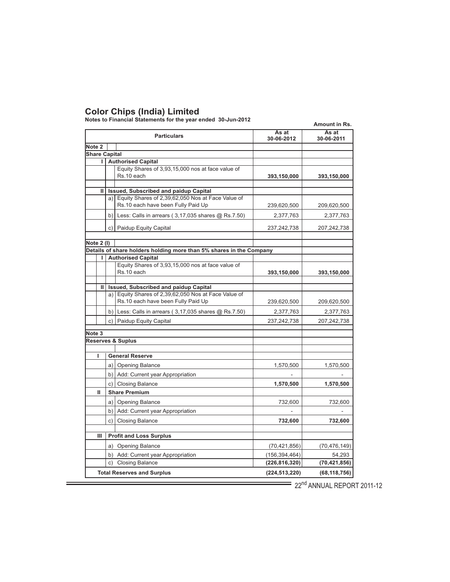**Notes to Financial Statements for the year ended 30-Jun-2012**

|                      |                      | NOLES TO FINANCIAL STATEMENTS TOF THE YEAR ENGED SU-JUNI-ZUTZ                                        |                     | Amount in Rs.       |
|----------------------|----------------------|------------------------------------------------------------------------------------------------------|---------------------|---------------------|
|                      |                      | <b>Particulars</b>                                                                                   | As at<br>30-06-2012 | As at<br>30-06-2011 |
| Note <sub>2</sub>    |                      |                                                                                                      |                     |                     |
| <b>Share Capital</b> |                      |                                                                                                      |                     |                     |
|                      |                      | <b>Authorised Capital</b>                                                                            |                     |                     |
|                      |                      | Equity Shares of 3,93,15,000 nos at face value of                                                    |                     |                     |
|                      |                      | Rs.10 each                                                                                           | 393,150,000         | 393,150,000         |
| Ш                    |                      | Issued, Subscribed and paidup Capital                                                                |                     |                     |
|                      |                      | a) Equity Shares of 2,39,62,050 Nos at Face Value of                                                 |                     |                     |
|                      |                      | Rs.10 each have been Fully Paid Up                                                                   | 239,620,500         | 209,620,500         |
|                      |                      |                                                                                                      | 2,377,763           |                     |
|                      |                      | b) Less: Calls in arrears $(3,17,035$ shares $@$ Rs.7.50)                                            |                     | 2,377,763           |
|                      | C)                   | Paidup Equity Capital                                                                                | 237,242,738         | 207,242,738         |
| Note 2 (I)           |                      |                                                                                                      |                     |                     |
|                      |                      | Details of share holders holding more than 5% shares in the Company                                  |                     |                     |
| L                    |                      | <b>Authorised Capital</b>                                                                            |                     |                     |
|                      |                      | Equity Shares of 3,93,15,000 nos at face value of                                                    |                     |                     |
|                      |                      | Rs.10 each                                                                                           | 393,150,000         | 393,150,000         |
|                      |                      |                                                                                                      |                     |                     |
| Ш                    |                      | <b>Issued, Subscribed and paidup Capital</b><br>a) Equity Shares of 2,39,62,050 Nos at Face Value of |                     |                     |
|                      |                      | Rs.10 each have been Fully Paid Up                                                                   | 239,620,500         | 209,620,500         |
|                      |                      | b) Less: Calls in arrears $(3,17,035$ shares $@$ Rs.7.50)                                            | 2,377,763           | 2,377,763           |
|                      |                      | c) Paidup Equity Capital                                                                             | 237,242,738         | 207,242,738         |
| Note <sub>3</sub>    |                      |                                                                                                      |                     |                     |
|                      |                      | <b>Reserves &amp; Suplus</b>                                                                         |                     |                     |
|                      |                      |                                                                                                      |                     |                     |
|                      |                      | <b>General Reserve</b>                                                                               |                     |                     |
|                      |                      | a)   Opening Balance                                                                                 | 1,570,500           | 1,570,500           |
|                      |                      | b) Add: Current year Appropriation                                                                   |                     |                     |
|                      | c)   Closing Balance |                                                                                                      | 1,570,500           | 1,570,500           |
| Ш                    |                      | <b>Share Premium</b>                                                                                 |                     |                     |
|                      | a)                   | <b>Opening Balance</b>                                                                               | 732,600             | 732,600             |
|                      | b)                   | Add: Current year Appropriation                                                                      |                     |                     |
|                      | c)                   | <b>Closing Balance</b>                                                                               | 732,600             | 732,600             |
|                      |                      |                                                                                                      |                     |                     |
| Ш                    |                      | <b>Profit and Loss Surplus</b>                                                                       |                     |                     |
|                      |                      | a) Opening Balance                                                                                   | (70, 421, 856)      | (70, 476, 149)      |
|                      |                      | b) Add: Current year Appropriation                                                                   | (156, 394, 464)     | 54,293              |
|                      | c)                   | <b>Closing Balance</b>                                                                               | (226, 816, 320)     | (70, 421, 856)      |
|                      |                      | <b>Total Reserves and Surplus</b>                                                                    | (224, 513, 220)     | (68, 118, 756)      |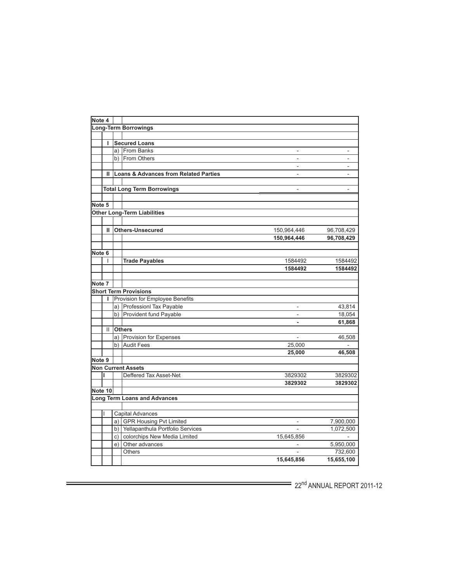| Note 4 |              |    |                                                  |                          |                    |
|--------|--------------|----|--------------------------------------------------|--------------------------|--------------------|
|        |              |    | <b>Long-Term Borrowings</b>                      |                          |                    |
|        |              |    |                                                  |                          |                    |
|        | г            |    | <b>Secured Loans</b>                             |                          |                    |
|        |              |    | a) From Banks                                    |                          |                    |
|        |              | b) | <b>From Others</b>                               |                          |                    |
|        |              |    |                                                  |                          |                    |
|        | $\mathbf{H}$ |    | <b>Loans &amp; Advances from Related Parties</b> | $\overline{a}$           |                    |
|        |              |    |                                                  |                          |                    |
|        |              |    | <b>Total Long Term Borrowings</b>                |                          |                    |
|        |              |    |                                                  |                          |                    |
| Note 5 |              |    |                                                  |                          |                    |
|        |              |    | <b>Other Long-Term Liabilities</b>               |                          |                    |
|        |              |    |                                                  |                          |                    |
|        |              |    |                                                  |                          |                    |
|        | Ш            |    | <b>Others-Unsecured</b>                          | 150,964,446              | 96,708,429         |
|        |              |    |                                                  | 150,964,446              | 96,708,429         |
| Note 6 |              |    |                                                  |                          |                    |
|        | I            |    |                                                  |                          |                    |
|        |              |    | <b>Trade Payables</b>                            | 1584492<br>1584492       | 1584492<br>1584492 |
|        |              |    |                                                  |                          |                    |
| Note 7 |              |    |                                                  |                          |                    |
|        |              |    | <b>Short Term Provisions</b>                     |                          |                    |
|        |              |    | Provision for Employee Benefits                  |                          |                    |
|        |              |    | a) Professionl Tax Payable                       | $\overline{\phantom{a}}$ | 43,814             |
|        |              |    | b) Provident fund Payable                        |                          | 18,054             |
|        |              |    |                                                  |                          | 61,868             |
|        | Ш            |    | <b>Others</b>                                    |                          |                    |
|        |              | a) | Provision for Expenses                           | $\overline{a}$           | 46,508             |
|        |              | b) | <b>Audit Fees</b>                                | 25,000                   |                    |
|        |              |    |                                                  | 25,000                   |                    |
| Note 9 |              |    |                                                  |                          | 46,508             |
|        |              |    | <b>Non Current Assets</b>                        |                          |                    |
|        | ı            |    | Deffered Tax Asset-Net                           | 3829302                  | 3829302            |
|        |              |    |                                                  | 3829302                  | 3829302            |
|        | Note 10      |    |                                                  |                          |                    |
|        |              |    | <b>Long Term Loans and Advances</b>              |                          |                    |
|        |              |    |                                                  |                          |                    |
|        |              |    | <b>Capital Advances</b>                          |                          |                    |
|        |              |    | a) GPR Housing Pvt Limited                       | $\overline{\phantom{a}}$ | 7,900,000          |
|        |              |    | b) Yellapanthula Portfolio Services              |                          | 1,072,500          |
|        |              | c) | colorchips New Media Limited                     | 15,645,856               |                    |
|        |              | e) | Other advances                                   |                          | 5,950,000          |
|        |              |    | <b>Others</b>                                    |                          | 732,600            |
|        |              |    |                                                  | 15,645,856               | 15,655,100         |
|        |              |    |                                                  |                          |                    |

Ė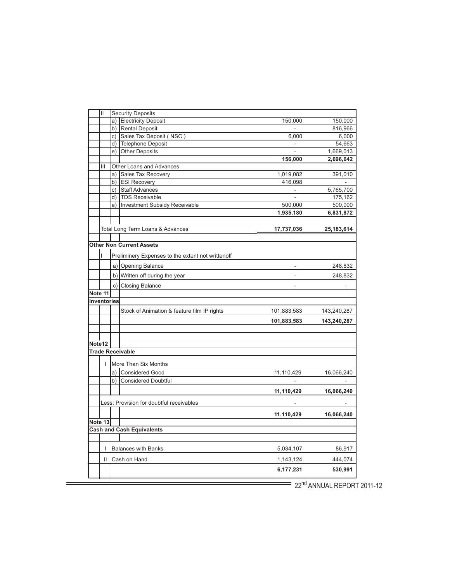| Н           |    | <b>Security Deposits</b>                          |                          |                     |
|-------------|----|---------------------------------------------------|--------------------------|---------------------|
|             |    | a) Electricity Deposit                            | 150,000                  | 150,000             |
|             |    | b) Rental Deposit<br>c) Sales Tax Deposit (NSC)   |                          | 816,966             |
|             |    | d) Telephone Deposit                              | 6,000                    | 6,000               |
|             |    | e) Other Deposits                                 |                          | 54,663<br>1,669,013 |
|             |    |                                                   | 156,000                  | 2,696,642           |
| Ш           |    | Other Loans and Advances                          |                          |                     |
|             |    | a) Sales Tax Recovery                             | 1,019,082                | 391,010             |
|             |    | b) ESI Recovery                                   | 416,098                  |                     |
|             | c) | <b>Staff Advances</b>                             |                          | 5,765,700           |
|             | d) | <b>TDS Receivable</b>                             |                          | 175,162             |
|             | e) | Investment Subsidy Receivable                     | 500,000                  | 500,000             |
|             |    |                                                   | 1,935,180                | 6,831,872           |
|             |    |                                                   |                          |                     |
|             |    | Total Long Term Loans & Advances                  | 17,737,036               | 25,183,614          |
|             |    |                                                   |                          |                     |
|             |    | <b>Other Non Current Assets</b>                   |                          |                     |
|             |    | Preliminery Expenses to the extent not writtenoff |                          |                     |
|             |    | a) Opening Balance                                | $\blacksquare$           | 248,832             |
|             |    | b) Written off during the year                    | $\overline{\phantom{a}}$ | 248,832             |
|             |    | c) Closing Balance                                | $\overline{\phantom{a}}$ |                     |
| Note 11     |    |                                                   |                          |                     |
| Inventories |    |                                                   |                          |                     |
|             |    | Stock of Animation & feature film IP rights       | 101,883,583              | 143,240,287         |
|             |    |                                                   | 101,883,583              | 143,240,287         |
|             |    |                                                   |                          |                     |
|             |    |                                                   |                          |                     |
| Note12      |    |                                                   |                          |                     |
|             |    | <b>Trade Receivable</b>                           |                          |                     |
| L           |    | More Than Six Months                              |                          |                     |
|             |    | a) Considered Good                                | 11,110,429               | 16,066,240          |
|             | b) | <b>Considered Doubtful</b>                        |                          |                     |
|             |    |                                                   | 11,110,429               | 16,066,240          |
|             |    | Less: Provision for doubtful receivables          |                          |                     |
|             |    |                                                   | 11,110,429               | 16,066,240          |
| Note 13     |    |                                                   |                          |                     |
|             |    | <b>Cash and Cash Equivalents</b>                  |                          |                     |
|             |    |                                                   |                          |                     |
|             |    | I Balances with Banks                             | 5,034,107                | 86,917              |
| Ш           |    | Cash on Hand                                      | 1,143,124                | 444,074             |
|             |    |                                                   | 6,177,231                | 530,991             |
|             |    |                                                   |                          |                     |

Ė

 $\overline{\hspace{1cm}}$  22<sup>nd</sup> ANNUAL REPORT 2011-12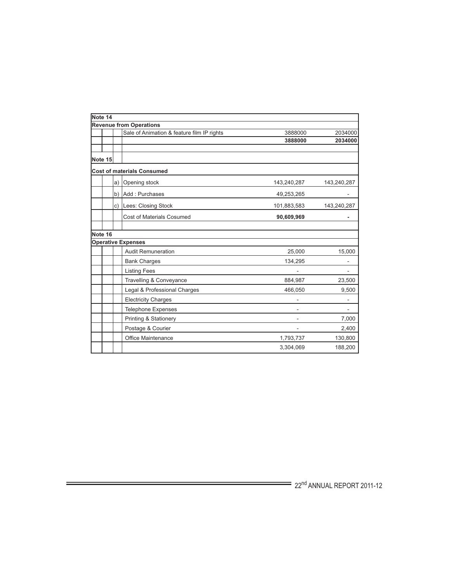| Note 14 |    |                                            |             |             |
|---------|----|--------------------------------------------|-------------|-------------|
|         |    | <b>Revenue from Operations</b>             |             |             |
|         |    | Sale of Animation & feature film IP rights | 3888000     | 2034000     |
|         |    |                                            | 3888000     | 2034000     |
| Note 15 |    |                                            |             |             |
|         |    | <b>Cost of materials Consumed</b>          |             |             |
|         | a) | Opening stock                              | 143,240,287 | 143,240,287 |
|         | b) | Add: Purchases                             | 49,253,265  |             |
|         | C) | Lees: Closing Stock                        | 101,883,583 | 143,240,287 |
|         |    | <b>Cost of Materials Cosumed</b>           | 90,609,969  |             |
| Note 16 |    |                                            |             |             |
|         |    | <b>Operative Expenses</b>                  |             |             |
|         |    | <b>Audit Remuneration</b>                  | 25,000      | 15,000      |
|         |    | <b>Bank Charges</b>                        | 134,295     |             |
|         |    | <b>Listing Fees</b>                        |             |             |
|         |    | Travelling & Conveyance                    | 884,987     | 23,500      |
|         |    | Legal & Professional Charges               | 466,050     | 9,500       |
|         |    | <b>Electricity Charges</b>                 |             |             |
|         |    | <b>Telephone Expenses</b>                  |             |             |
|         |    | <b>Printing &amp; Stationery</b>           |             | 7,000       |
|         |    | Postage & Courier                          |             | 2,400       |
|         |    | Office Maintenance                         | 1,793,737   | 130,800     |
|         |    |                                            | 3,304,069   | 188,200     |

Ė

 $\overbrace{\hspace{2.5cm}}$   $22^{\text{nd}}$  ANNUAL REPORT 2011-12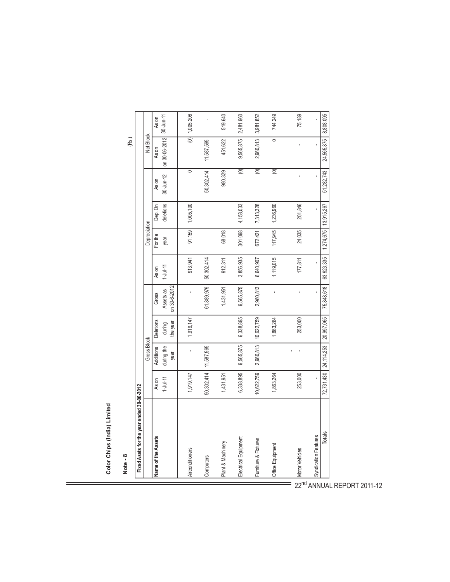| ī |
|---|

| <b>Allian Countries</b>                   |                |                       |                  |              |              |                        |           |                   |               |              |  |
|-------------------------------------------|----------------|-----------------------|------------------|--------------|--------------|------------------------|-----------|-------------------|---------------|--------------|--|
| Note - 8                                  |                |                       |                  |              |              |                        |           |                   | (Rs.)         |              |  |
| Fixed Asets for the year ended 30-06-2012 |                |                       |                  |              |              |                        |           |                   |               |              |  |
|                                           |                | <b>Gross Block</b>    |                  |              |              | Depreciation           |           |                   | Net Block     |              |  |
| <b>Vame of the Assets</b>                 | As on          | Additions             | <b>Deletions</b> | Gross        | As on        | For the                | Dep. On   | As on             | As on         | As on        |  |
|                                           | $1 - Jul - 11$ | during the            | during           | Assets as    | $1 -$ Jul-11 | year                   | deletions | $30$ -Jun-12      | on 30-06-2012 | $30$ -Jun-11 |  |
|                                           |                | year                  | the year         | on 30-6-2012 |              |                        |           |                   |               |              |  |
| Airconditioners                           | 1,919,147      |                       | 1,919,147        |              | 913,941      | 91,159                 | 1,005,100 | $\circ$           | $\frac{1}{2}$ | 1,005,206    |  |
| Computers                                 | 50,302,414     | 11,587,565            |                  | 61,889,979   | 50,302,414   |                        |           | 50,302,414        | 11,587,565    |              |  |
| Plant & Machinery                         | 1,431,951      |                       |                  | 1,431,951    | 912,311      | 68,018                 |           | 980,329           | 451,622       | 519,640      |  |
| Electrical Equipment                      | 6,338,895      | 9,565,875             | 6,338,895        | 9,565,875    | 3,856,935    | 301,098                | 4,158,033 | $\circledcirc$    | 9,565,875     | 2,481,960    |  |
| Furniture & Fixtures                      | 10,622,759     | 2,960,813             | 10,622,759       | 2,960,813    | 6,640,907    | 672,421                | 7,313,328 | $\circledcirc$    | 2,960,813     | 3,981,852    |  |
| Office Equipment                          | 1,863,264      |                       | 1,863,264        |              | 1,119,015    | 117,945                | 1,236,960 | $\widehat{\circ}$ | $\circ$       | 744,249      |  |
|                                           |                |                       |                  |              |              |                        |           |                   |               |              |  |
| Motor Vehicles                            | 253,000        |                       | 253,000          |              | 177,811      | 24,035                 | 201,846   |                   |               | 75,189       |  |
| Syndication Features                      |                |                       |                  |              |              |                        |           |                   |               |              |  |
| Totals                                    |                | 72,731,430 24,114,253 | 20,997,065       | 75,848,618   | 63,923,335   | 1,274,675   13,915,267 |           | 51,282,743        | 24,565,875    | 8,808,095    |  |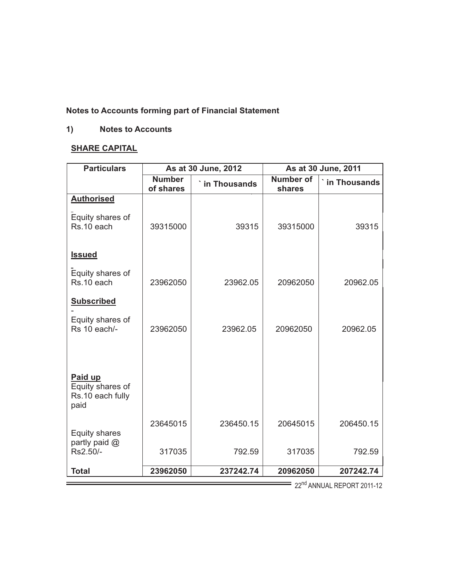# **Notes to Accounts forming part of Financial Statement**

# **1) Notes to Accounts**

# **SHARE CAPITAL**

| <b>Particulars</b>                                                   |                            | As at 30 June, 2012 |                            | As at 30 June, 2011 |
|----------------------------------------------------------------------|----------------------------|---------------------|----------------------------|---------------------|
|                                                                      | <b>Number</b><br>of shares | in Thousands        | <b>Number of</b><br>shares | in Thousands        |
| <b>Authorised</b><br>Equity shares of<br>Rs.10 each<br><b>Issued</b> | 39315000                   | 39315               | 39315000                   | 39315               |
| Equity shares of<br>Rs.10 each                                       | 23962050                   | 23962.05            | 20962050                   | 20962.05            |
| <b>Subscribed</b><br>Equity shares of<br>Rs 10 each/-                | 23962050                   | 23962.05            | 20962050                   | 20962.05            |
| Paid up<br>Equity shares of<br>Rs.10 each fully<br>paid              |                            |                     |                            |                     |
| Equity shares<br>partly paid @<br>Rs2.50/-                           | 23645015<br>317035         | 236450.15<br>792.59 | 20645015<br>317035         | 206450.15<br>792.59 |
| <b>Total</b>                                                         | 23962050                   | 237242.74           | 20962050                   | 207242.74           |

 $\equiv$  22<sup>nd</sup> ANNUAL REPORT 2011-12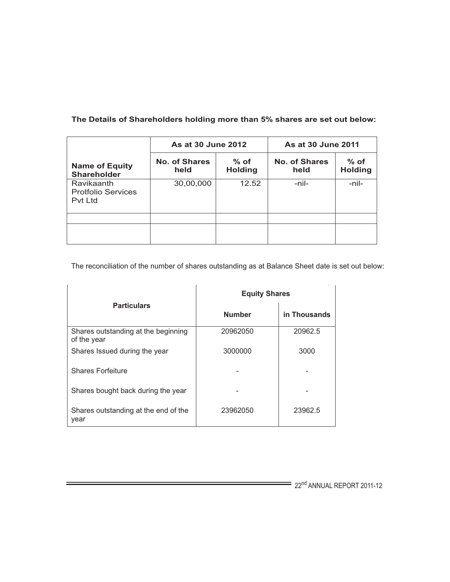|                                                           | As at 30 June 2012    |                          | As at 30 June 2011    |                          |  |
|-----------------------------------------------------------|-----------------------|--------------------------|-----------------------|--------------------------|--|
| <b>Name of Equity</b><br><b>Shareholder</b>               | No. of Shares<br>held | $%$ of<br><b>Holding</b> | No. of Shares<br>held | $%$ of<br><b>Holding</b> |  |
| <b>Ravikaanth</b><br><b>Protfolio Services</b><br>Pvt Ltd | 30,00,000             | 12.52                    | -nil-                 | -nil-                    |  |
|                                                           |                       |                          |                       |                          |  |
|                                                           |                       |                          |                       |                          |  |
|                                                           |                       |                          |                       |                          |  |

# **The Details of Shareholders holding more than 5% shares are set out below:**

The reconciliation of the number of shares outstanding as at Balance Sheet date is set out below:

|                                                    | <b>Equity Shares</b> |              |  |
|----------------------------------------------------|----------------------|--------------|--|
| <b>Particulars</b>                                 | <b>Number</b>        | in Thousands |  |
| Shares outstanding at the beginning<br>of the year | 20962050             | 20962.5      |  |
| Shares Issued during the year                      | 3000000              | 3000         |  |
| <b>Shares Forfeiture</b>                           |                      |              |  |
| Shares bought back during the year                 |                      |              |  |
| Shares outstanding at the end of the<br>year       | 23962050             | 23962.5      |  |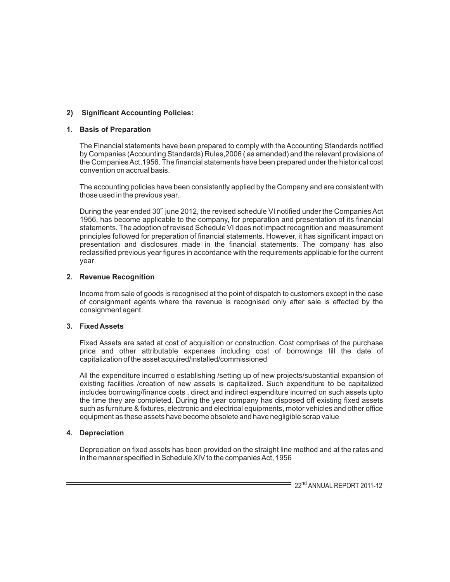# **2) Significant Accounting Policies:**

### **1. Basis of Preparation**

The Financial statements have been prepared to comply with the Accounting Standards notified by Companies (Accounting Standards) Rules,2006 ( as amended) and the relevant provisions of the Companies Act,1956. The financial statements have been prepared under the historical cost convention on accrual basis.

The accounting policies have been consistently applied by the Company and are consistent with those used in the previous year.

During the year ended  $30<sup>th</sup>$  june 2012, the revised schedule VI notified under the Companies Act 1956, has become applicable to the company, for preparation and presentation of its financial statements. The adoption of revised Schedule VI does not impact recognition and measurement principles followed for preparation of financial statements. However, it has significant impact on presentation and disclosures made in the financial statements. The company has also reclassified previous year figures in accordance with the requirements applicable for the current year

### **2. Revenue Recognition**

Income from sale of goods is recognised at the point of dispatch to customers except in the case of consignment agents where the revenue is recognised only after sale is effected by the consignment agent.

#### **3. Fixed Assets**

Fixed Assets are sated at cost of acquisition or construction. Cost comprises of the purchase price and other attributable expenses including cost of borrowings till the date of capitalization of the asset acquired/installed/commissioned

All the expenditure incurred o establishing /setting up of new projects/substantial expansion of existing facilities /creation of new assets is capitalized. Such expenditure to be capitalized includes borrowing/finance costs , direct and indirect expenditure incurred on such assets upto the time they are completed. During the year company has disposed off existing fixed assets such as furniture & fixtures, electronic and electrical equipments, motor vehicles and other office equipment as these assets have become obsolete and have negligible scrap value

#### **4. Depreciation**

Depreciation on fixed assets has been provided on the straight line method and at the rates and in the manner specified in Schedule XIV to the companies Act, 1956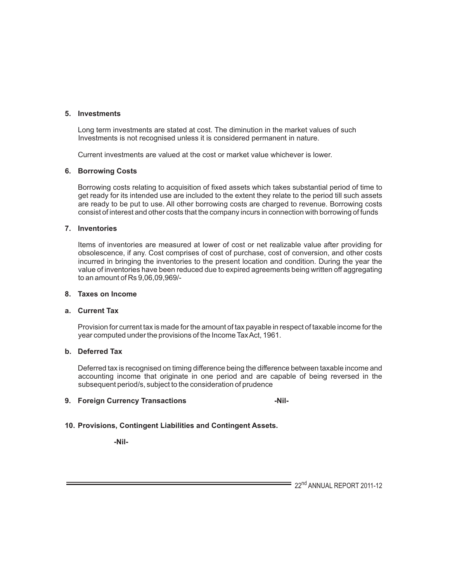#### **5. Investments**

Long term investments are stated at cost. The diminution in the market values of such Investments is not recognised unless it is considered permanent in nature.

Current investments are valued at the cost or market value whichever is lower.

#### **6. Borrowing Costs**

Borrowing costs relating to acquisition of fixed assets which takes substantial period of time to get ready for its intended use are included to the extent they relate to the period till such assets are ready to be put to use. All other borrowing costs are charged to revenue. Borrowing costs consist of interest and other costs that the company incurs in connection with borrowing of funds

#### **7. Inventories**

Items of inventories are measured at lower of cost or net realizable value after providing for obsolescence, if any. Cost comprises of cost of purchase, cost of conversion, and other costs incurred in bringing the inventories to the present location and condition. During the year the value of inventories have been reduced due to expired agreements being written off aggregating to an amount of Rs 9,06,09,969/-

#### **8. Taxes on Income**

#### **a. Current Tax**

Provision for current tax is made for the amount of tax payable in respect of taxable income for the year computed under the provisions of the Income Tax Act, 1961.

### **b. Deferred Tax**

Deferred tax is recognised on timing difference being the difference between taxable income and accounting income that originate in one period and are capable of being reversed in the subsequent period/s, subject to the consideration of prudence

#### **9. Foreign Currency Transactions -Nil-**

#### **10. Provisions, Contingent Liabilities and Contingent Assets.**

 **-Nil-**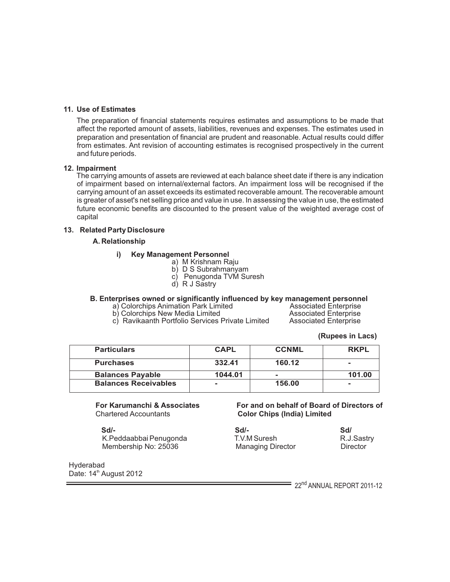# **11. Use of Estimates**

The preparation of financial statements requires estimates and assumptions to be made that affect the reported amount of assets, liabilities, revenues and expenses. The estimates used in preparation and presentation of financial are prudent and reasonable. Actual results could differ from estimates. Ant revision of accounting estimates is recognised prospectively in the current and future periods.

#### **12. Impairment**

The carrying amounts of assets are reviewed at each balance sheet date if there is any indication of impairment based on internal/external factors. An impairment loss will be recognised if the carrying amount of an asset exceeds its estimated recoverable amount. The recoverable amount is greater of asset's net selling price and value in use. In assessing the value in use, the estimated future economic benefits are discounted to the present value of the weighted average cost of capital

## **13. Related Party Disclosure**

#### **A. Relationship**

#### **i) Key Management Personnel**

- a) M Krishnam Raju
- b) D S Subrahmanyam
- c) Penugonda TVM Suresh
- d) R J Sastry

# **B. Enterprises owned or significantly influenced by key management personnel**

- a) Colorchips Animation Park Limited **Associated Enterprise**<br>
b) Colorchips New Media Limited **Associated Enterprise**
- c) Ravikaanth Portfolio Services Private Limited

b) Colorchips New Media Limited **Associated Enterprise**<br>
c) Ravikaanth Portfolio Services Private Limited Associated Enterprise

 **(Rupees in Lacs)**

| <b>Particulars</b>          | <b>CAPL</b> | <b>CCNML</b> | <b>RKPL</b> |
|-----------------------------|-------------|--------------|-------------|
| <b>Purchases</b>            | 332.41      | 160.12       | ۰           |
| <b>Balances Payable</b>     | 1044.01     | -            | 101.00      |
| <b>Balances Receivables</b> | ۰           | 156.00       |             |

 **Sd/- Sd/- Sd/** K.Peddaabbai Penugonda<br>
Membership No: 25036 Managing Director Chinector Chinector Membership No: 25036

Hyderabad Date: 14<sup>th</sup> August 2012

#### **For Karumanchi & Associates For and on behalf of Board of Directors of Charles Charles Charles Color Chips (India) Limited Color Chips (India) Limited**